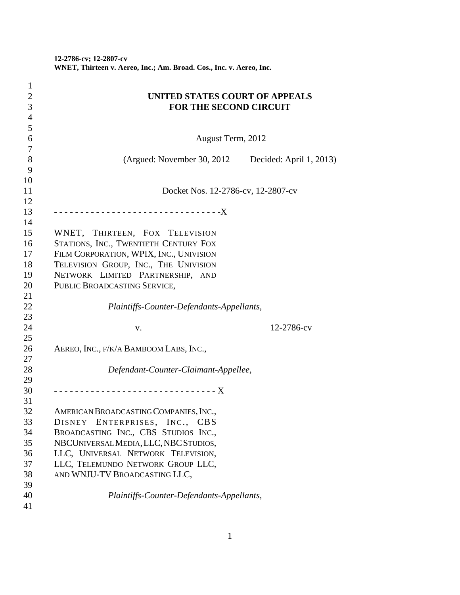**12-2786-cv; 12-2807-cv WNET, Thirteen v. Aereo, Inc.; Am. Broad. Cos., Inc. v. Aereo, Inc.**

| $\mathbf{1}$   |                                                    |            |
|----------------|----------------------------------------------------|------------|
| $\overline{c}$ | <b>UNITED STATES COURT OF APPEALS</b>              |            |
| 3              | <b>FOR THE SECOND CIRCUIT</b>                      |            |
| $\overline{4}$ |                                                    |            |
| 5              |                                                    |            |
| 6              | August Term, 2012                                  |            |
| 7              |                                                    |            |
| 8              | (Argued: November 30, 2012 Decided: April 1, 2013) |            |
| 9              |                                                    |            |
| 10             |                                                    |            |
| 11             | Docket Nos. 12-2786-cv, 12-2807-cv                 |            |
| 12             |                                                    |            |
| 13             |                                                    |            |
| 14             |                                                    |            |
| 15             | WNET, THIRTEEN, FOX TELEVISION                     |            |
| 16             | STATIONS, INC., TWENTIETH CENTURY FOX              |            |
| 17             | FILM CORPORATION, WPIX, INC., UNIVISION            |            |
| 18             | TELEVISION GROUP, INC., THE UNIVISION              |            |
| 19             | NETWORK LIMITED PARTNERSHIP, AND                   |            |
| 20             | PUBLIC BROADCASTING SERVICE,                       |            |
| 21             |                                                    |            |
| 22             | Plaintiffs-Counter-Defendants-Appellants,          |            |
| 23             |                                                    |            |
| 24             | V.                                                 | 12-2786-cv |
| 25             |                                                    |            |
| 26             | AEREO, INC., F/K/A BAMBOOM LABS, INC.,             |            |
| 27             |                                                    |            |
| 28             | Defendant-Counter-Claimant-Appellee,               |            |
| 29             |                                                    |            |
| 30             |                                                    |            |
| 31             |                                                    |            |
| 32             | AMERICAN BROADCASTING COMPANIES, INC.,             |            |
| 33             | DISNEY ENTERPRISES, INC., CBS                      |            |
| 34             | BROADCASTING INC., CBS STUDIOS INC.,               |            |
| 35             | NBCUNIVERSAL MEDIA, LLC, NBC STUDIOS,              |            |
| 36             | LLC, UNIVERSAL NETWORK TELEVISION,                 |            |
| 37             | LLC, TELEMUNDO NETWORK GROUP LLC,                  |            |
| 38             | AND WNJU-TV BROADCASTING LLC,                      |            |
| 39             |                                                    |            |
| 40             | Plaintiffs-Counter-Defendants-Appellants,          |            |
| 41             |                                                    |            |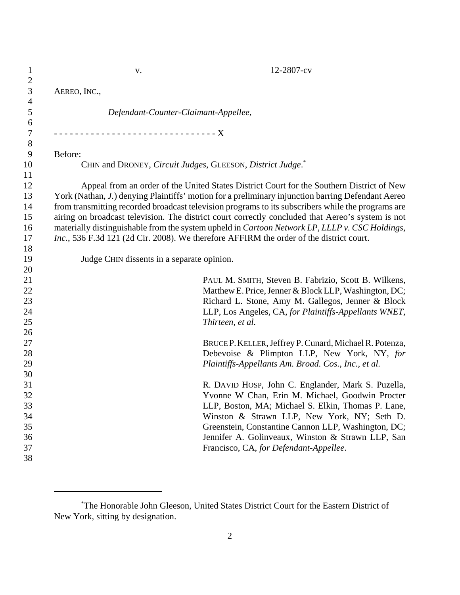| $\mathbf{1}$                           | V.                                                         | 12-2807-cv                                                                                                                                                                                                                                                                                                                                                                                                                                                                                                                                                                                             |
|----------------------------------------|------------------------------------------------------------|--------------------------------------------------------------------------------------------------------------------------------------------------------------------------------------------------------------------------------------------------------------------------------------------------------------------------------------------------------------------------------------------------------------------------------------------------------------------------------------------------------------------------------------------------------------------------------------------------------|
| $\mathbf{2}$<br>$\mathfrak{Z}$         | AEREO, INC.,                                               |                                                                                                                                                                                                                                                                                                                                                                                                                                                                                                                                                                                                        |
| $\overline{4}$<br>5                    | Defendant-Counter-Claimant-Appellee,                       |                                                                                                                                                                                                                                                                                                                                                                                                                                                                                                                                                                                                        |
| 6<br>$\tau$                            | -------------------------------X                           |                                                                                                                                                                                                                                                                                                                                                                                                                                                                                                                                                                                                        |
| 8<br>9                                 | Before:                                                    |                                                                                                                                                                                                                                                                                                                                                                                                                                                                                                                                                                                                        |
| 10                                     | CHIN and DRONEY, Circuit Judges, GLEESON, District Judge.* |                                                                                                                                                                                                                                                                                                                                                                                                                                                                                                                                                                                                        |
| 11<br>12<br>13<br>14<br>15<br>16<br>17 |                                                            | Appeal from an order of the United States District Court for the Southern District of New<br>York (Nathan, J.) denying Plaintiffs' motion for a preliminary injunction barring Defendant Aereo<br>from transmitting recorded broadcast television programs to its subscribers while the programs are<br>airing on broadcast television. The district court correctly concluded that Aereo's system is not<br>materially distinguishable from the system upheld in Cartoon Network LP, LLLP v. CSC Holdings,<br>Inc., 536 F.3d 121 (2d Cir. 2008). We therefore AFFIRM the order of the district court. |
| 18<br>19                               | Judge CHIN dissents in a separate opinion.                 |                                                                                                                                                                                                                                                                                                                                                                                                                                                                                                                                                                                                        |
| 20                                     |                                                            |                                                                                                                                                                                                                                                                                                                                                                                                                                                                                                                                                                                                        |
| 21                                     |                                                            | PAUL M. SMITH, Steven B. Fabrizio, Scott B. Wilkens,                                                                                                                                                                                                                                                                                                                                                                                                                                                                                                                                                   |
| 22<br>23                               |                                                            | Matthew E. Price, Jenner & Block LLP, Washington, DC;<br>Richard L. Stone, Amy M. Gallegos, Jenner & Block                                                                                                                                                                                                                                                                                                                                                                                                                                                                                             |
| 24                                     |                                                            | LLP, Los Angeles, CA, for Plaintiffs-Appellants WNET,                                                                                                                                                                                                                                                                                                                                                                                                                                                                                                                                                  |
| 25<br>26                               |                                                            | Thirteen, et al.                                                                                                                                                                                                                                                                                                                                                                                                                                                                                                                                                                                       |
| 27                                     |                                                            | BRUCEP. KELLER, Jeffrey P. Cunard, Michael R. Potenza,                                                                                                                                                                                                                                                                                                                                                                                                                                                                                                                                                 |
| 28                                     |                                                            | Debevoise & Plimpton LLP, New York, NY, for                                                                                                                                                                                                                                                                                                                                                                                                                                                                                                                                                            |
| 29                                     |                                                            | Plaintiffs-Appellants Am. Broad. Cos., Inc., et al.                                                                                                                                                                                                                                                                                                                                                                                                                                                                                                                                                    |
| 30                                     |                                                            |                                                                                                                                                                                                                                                                                                                                                                                                                                                                                                                                                                                                        |
| 31                                     |                                                            | R. DAVID HOSP, John C. Englander, Mark S. Puzella,                                                                                                                                                                                                                                                                                                                                                                                                                                                                                                                                                     |
| 32                                     |                                                            | Yvonne W Chan, Erin M. Michael, Goodwin Procter                                                                                                                                                                                                                                                                                                                                                                                                                                                                                                                                                        |
| 33                                     |                                                            | LLP, Boston, MA; Michael S. Elkin, Thomas P. Lane,                                                                                                                                                                                                                                                                                                                                                                                                                                                                                                                                                     |
| 34                                     |                                                            | Winston & Strawn LLP, New York, NY; Seth D.                                                                                                                                                                                                                                                                                                                                                                                                                                                                                                                                                            |
| 35                                     |                                                            | Greenstein, Constantine Cannon LLP, Washington, DC;                                                                                                                                                                                                                                                                                                                                                                                                                                                                                                                                                    |
| 36                                     |                                                            | Jennifer A. Golinveaux, Winston & Strawn LLP, San                                                                                                                                                                                                                                                                                                                                                                                                                                                                                                                                                      |
| 37<br>38                               |                                                            | Francisco, CA, for Defendant-Appellee.                                                                                                                                                                                                                                                                                                                                                                                                                                                                                                                                                                 |
|                                        |                                                            |                                                                                                                                                                                                                                                                                                                                                                                                                                                                                                                                                                                                        |

<sup>\*</sup> The Honorable John Gleeson, United States District Court for the Eastern District of New York, sitting by designation.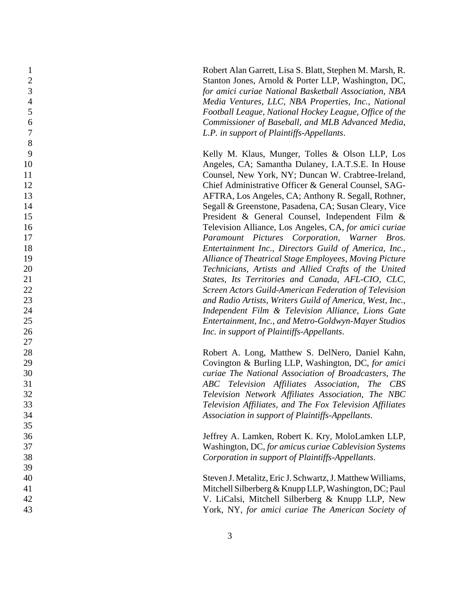Robert Alan Garrett, Lisa S. Blatt, Stephen M. Marsh, R. Stanton Jones, Arnold & Porter LLP, Washington, DC, *for amici curiae National Basketball Association, NBA Media Ventures, LLC, NBA Properties, Inc., National Football League, National Hockey League, Office of the Commissioner of Baseball, and MLB Advanced Media, L.P. in support of Plaintiffs-Appellants*.

8<br>9 Kelly M. Klaus, Munger, Tolles & Olson LLP, Los Angeles, CA; Samantha Dulaney, I.A.T.S.E. In House Counsel, New York, NY; Duncan W. Crabtree-Ireland, Chief Administrative Officer & General Counsel, SAG- AFTRA, Los Angeles, CA; Anthony R. Segall, Rothner, Segall & Greenstone, Pasadena, CA; Susan Cleary, Vice President & General Counsel, Independent Film & Television Alliance, Los Angeles, CA, *for amici curiae Paramount Pictures Corporation, Warner Bros. Entertainment Inc., Directors Guild of America, Inc., Alliance of Theatrical Stage Employees, Moving Picture Technicians, Artists and Allied Crafts of the United States, Its Territories and Canada, AFL-CIO, CLC, Screen Actors Guild-American Federation of Television and Radio Artists, Writers Guild of America, West, Inc., Independent Film & Television Alliance, Lions Gate Entertainment, Inc., and Metro-Goldwyn-Mayer Studios Inc. in support of Plaintiffs-Appellants* .

 Robert A. Long, Matthew S. DelNero, Daniel Kahn, Covington & Burling LLP, Washington, DC, *for amici curiae The National Association of Broadcasters, The ABC Television Affiliates Association, The CBS Television Network Affiliates Association, The NBC Television Affiliates, and The Fox Television Affiliates Association in support of Plaintiffs-Appellants* .

 Jeffrey A. Lamken, Robert K. Kry, MoloLamken LLP, Washington, DC, *for amicus curiae Cablevision Systems Corporation in support of Plaintiffs-Appellants* .

 Steven J. Metalitz, Eric J. Schwartz, J. Matthew Williams, Mitchell Silberberg & Knupp LLP, Washington, DC; Paul V. LiCalsi, Mitchell Silberberg & Knupp LLP, New York, NY, *for amici curiae The American Society of*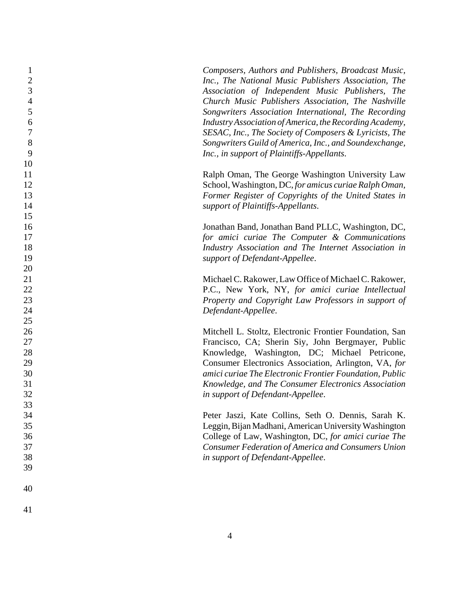| $\mathbf{1}$     | Composers, Authors and Publishers, Broadcast Music,     |
|------------------|---------------------------------------------------------|
| $\overline{2}$   | Inc., The National Music Publishers Association, The    |
| 3                | Association of Independent Music Publishers, The        |
| $\overline{4}$   | Church Music Publishers Association, The Nashville      |
| 5                | Songwriters Association International, The Recording    |
| 6                | Industry Association of America, the Recording Academy, |
| $\boldsymbol{7}$ | SESAC, Inc., The Society of Composers & Lyricists, The  |
| 8                | Songwriters Guild of America, Inc., and Soundexchange,  |
| 9                | Inc., in support of Plaintiffs-Appellants.              |
| 10               |                                                         |
| 11               | Ralph Oman, The George Washington University Law        |
| 12               | School, Washington, DC, for amicus curiae Ralph Oman,   |
| 13               | Former Register of Copyrights of the United States in   |
| 14               | support of Plaintiffs-Appellants.                       |
| 15               |                                                         |
| 16               | Jonathan Band, Jonathan Band PLLC, Washington, DC,      |
| 17               | for amici curiae The Computer & Communications          |
| 18               | Industry Association and The Internet Association in    |
| 19               |                                                         |
| 20               | support of Defendant-Appellee.                          |
| 21               | Michael C. Rakower, Law Office of Michael C. Rakower,   |
|                  |                                                         |
| 22               | P.C., New York, NY, for amici curiae Intellectual       |
| 23               | Property and Copyright Law Professors in support of     |
| 24               | Defendant-Appellee.                                     |
| 25               |                                                         |
| 26               | Mitchell L. Stoltz, Electronic Frontier Foundation, San |
| 27               | Francisco, CA; Sherin Siy, John Bergmayer, Public       |
| 28               | Knowledge, Washington, DC; Michael Petricone,           |
| 29               | Consumer Electronics Association, Arlington, VA, for    |
| 30               | amici curiae The Electronic Frontier Foundation, Public |
| 31               | Knowledge, and The Consumer Electronics Association     |
| 32               | in support of Defendant-Appellee.                       |
| 33               |                                                         |
| 34               | Peter Jaszi, Kate Collins, Seth O. Dennis, Sarah K.     |
| 35               | Leggin, Bijan Madhani, American University Washington   |
| 36               | College of Law, Washington, DC, for amici curiae The    |
| 37               | Consumer Federation of America and Consumers Union      |
| 38               | in support of Defendant-Appellee.                       |
| 39               |                                                         |
|                  |                                                         |
| 40               |                                                         |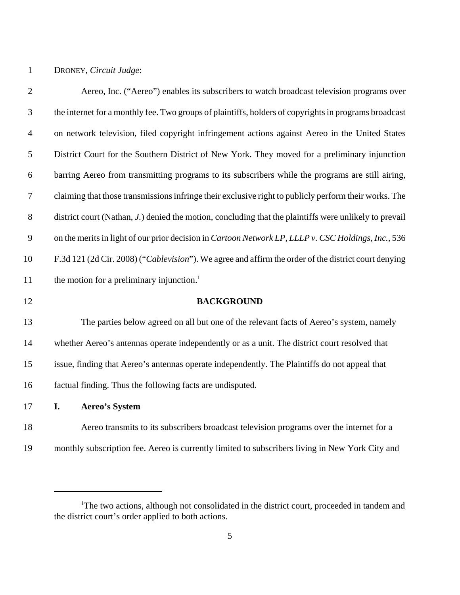DRONEY, *Circuit Judge*:

| $\overline{2}$           | Aereo, Inc. ("Aereo") enables its subscribers to watch broadcast television programs over              |
|--------------------------|--------------------------------------------------------------------------------------------------------|
| $\mathfrak{Z}$           | the internet for a monthly fee. Two groups of plaintiffs, holders of copyrights in programs broadcast  |
| $\overline{\mathcal{A}}$ | on network television, filed copyright infringement actions against Aereo in the United States         |
| $\mathfrak s$            | District Court for the Southern District of New York. They moved for a preliminary injunction          |
| 6                        | barring Aereo from transmitting programs to its subscribers while the programs are still airing,       |
| $\tau$                   | claiming that those transmissions infringe their exclusive right to publicly perform their works. The  |
| $8\,$                    | district court (Nathan, J.) denied the motion, concluding that the plaintiffs were unlikely to prevail |
| 9                        | on the merits in light of our prior decision in Cartoon Network LP, LLLP v. CSC Holdings, Inc., 536    |
| 10                       | F.3d 121 (2d Cir. 2008) ("Cablevision"). We agree and affirm the order of the district court denying   |
| $11\,$                   | the motion for a preliminary injunction. <sup>1</sup>                                                  |
| 12                       | <b>BACKGROUND</b>                                                                                      |
| 13                       | The parties below agreed on all but one of the relevant facts of Aereo's system, namely                |
| 14                       | whether Aereo's antennas operate independently or as a unit. The district court resolved that          |
| 15                       | issue, finding that Aereo's antennas operate independently. The Plaintiffs do not appeal that          |
| 16                       | factual finding. Thus the following facts are undisputed.                                              |
| 17                       | I.<br><b>Aereo's System</b>                                                                            |
| 18                       | Aereo transmits to its subscribers broadcast television programs over the internet for a               |
| 19                       | monthly subscription fee. Aereo is currently limited to subscribers living in New York City and        |

<sup>&</sup>lt;sup>1</sup>The two actions, although not consolidated in the district court, proceeded in tandem and the district court's order applied to both actions.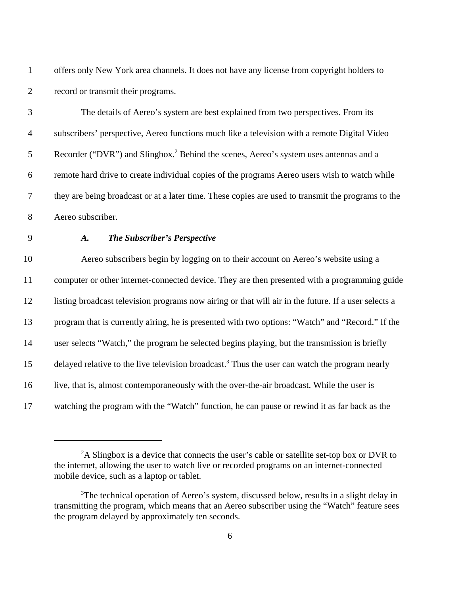offers only New York area channels. It does not have any license from copyright holders to record or transmit their programs.

 The details of Aereo's system are best explained from two perspectives. From its subscribers' perspective, Aereo functions much like a television with a remote Digital Video 5 Recorder ("DVR") and Slingbox.<sup>2</sup> Behind the scenes, Aereo's system uses antennas and a remote hard drive to create individual copies of the programs Aereo users wish to watch while they are being broadcast or at a later time. These copies are used to transmit the programs to the Aereo subscriber.

# *A. The Subscriber's Perspective*

 Aereo subscribers begin by logging on to their account on Aereo's website using a computer or other internet-connected device. They are then presented with a programming guide listing broadcast television programs now airing or that will air in the future. If a user selects a program that is currently airing, he is presented with two options: "Watch" and "Record." If the user selects "Watch," the program he selected begins playing, but the transmission is briefly 15 delayed relative to the live television broadcast.<sup>3</sup> Thus the user can watch the program nearly live, that is, almost contemporaneously with the over-the-air broadcast. While the user is watching the program with the "Watch" function, he can pause or rewind it as far back as the

<sup>&</sup>lt;sup>2</sup>A Slingbox is a device that connects the user's cable or satellite set-top box or DVR to the internet, allowing the user to watch live or recorded programs on an internet-connected mobile device, such as a laptop or tablet.

<sup>&</sup>lt;sup>3</sup>The technical operation of Aereo's system, discussed below, results in a slight delay in transmitting the program, which means that an Aereo subscriber using the "Watch" feature sees the program delayed by approximately ten seconds.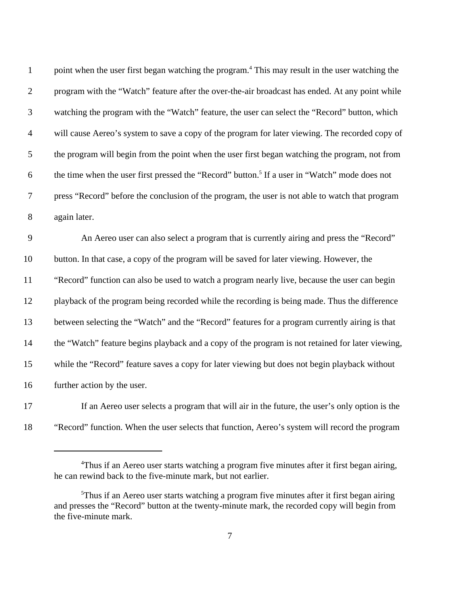| $\mathbf{1}$     | point when the user first began watching the program. <sup>4</sup> This may result in the user watching the |
|------------------|-------------------------------------------------------------------------------------------------------------|
| $\overline{2}$   | program with the "Watch" feature after the over-the-air broadcast has ended. At any point while             |
| 3                | watching the program with the "Watch" feature, the user can select the "Record" button, which               |
| $\overline{4}$   | will cause Aereo's system to save a copy of the program for later viewing. The recorded copy of             |
| 5                | the program will begin from the point when the user first began watching the program, not from              |
| 6                | the time when the user first pressed the "Record" button. <sup>5</sup> If a user in "Watch" mode does not   |
| $\boldsymbol{7}$ | press "Record" before the conclusion of the program, the user is not able to watch that program             |
| $8\,$            | again later.                                                                                                |
| 9                | An Aereo user can also select a program that is currently airing and press the "Record"                     |
| 10               | button. In that case, a copy of the program will be saved for later viewing. However, the                   |
| 11               | "Record" function can also be used to watch a program nearly live, because the user can begin               |
| 12               | playback of the program being recorded while the recording is being made. Thus the difference               |
| 13               | between selecting the "Watch" and the "Record" features for a program currently airing is that              |
| 14               | the "Watch" feature begins playback and a copy of the program is not retained for later viewing,            |
| 15               | while the "Record" feature saves a copy for later viewing but does not begin playback without               |
| 16               | further action by the user.                                                                                 |
| 17               | If an Agree user solecte a nucleon that will air in the future, the user's only ontion is the               |

 If an Aereo user selects a program that will air in the future, the user's only option is the "Record" function. When the user selects that function, Aereo's system will record the program

<sup>&</sup>lt;sup>4</sup>Thus if an Aereo user starts watching a program five minutes after it first began airing, he can rewind back to the five-minute mark, but not earlier.

<sup>&</sup>lt;sup>5</sup>Thus if an Aereo user starts watching a program five minutes after it first began airing and presses the "Record" button at the twenty-minute mark, the recorded copy will begin from the five-minute mark.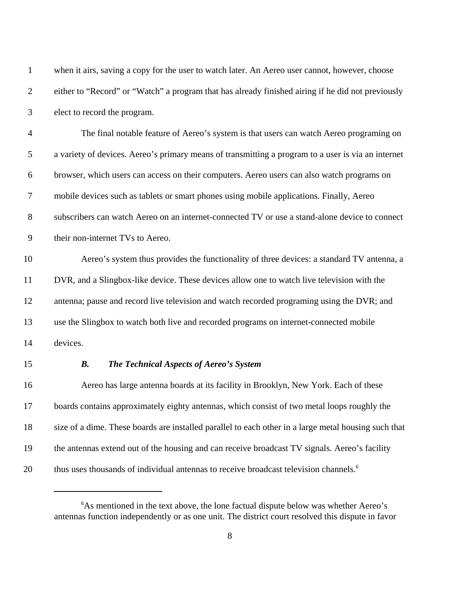| $\mathbf{1}$             | when it airs, saving a copy for the user to watch later. An Aereo user cannot, however, choose       |
|--------------------------|------------------------------------------------------------------------------------------------------|
| $\overline{2}$           | either to "Record" or "Watch" a program that has already finished airing if he did not previously    |
| 3                        | elect to record the program.                                                                         |
| $\overline{\mathcal{A}}$ | The final notable feature of Aereo's system is that users can watch Aereo programing on              |
| 5                        | a variety of devices. Aereo's primary means of transmitting a program to a user is via an internet   |
| 6                        | browser, which users can access on their computers. Aereo users can also watch programs on           |
| $\tau$                   | mobile devices such as tablets or smart phones using mobile applications. Finally, Aereo             |
| $8\,$                    | subscribers can watch Aereo on an internet-connected TV or use a stand-alone device to connect       |
| 9                        | their non-internet TVs to Aereo.                                                                     |
| 10                       | Aereo's system thus provides the functionality of three devices: a standard TV antenna, a            |
| 11                       | DVR, and a Slingbox-like device. These devices allow one to watch live television with the           |
| 12                       | antenna; pause and record live television and watch recorded programing using the DVR; and           |
| 13                       | use the Slingbox to watch both live and recorded programs on internet-connected mobile               |
| 14                       | devices.                                                                                             |
| 15                       | The Technical Aspects of Aereo's System<br>$\boldsymbol{B}$ .                                        |
| 16                       | Aereo has large antenna boards at its facility in Brooklyn, New York. Each of these                  |
| 17                       | boards contains approximately eighty antennas, which consist of two metal loops roughly the          |
| 18                       | size of a dime. These boards are installed parallel to each other in a large metal housing such that |
| 19                       | the antennas extend out of the housing and can receive broadcast TV signals. Aereo's facility        |
| 20                       | thus uses thousands of individual antennas to receive broadcast television channels. <sup>6</sup>    |
|                          |                                                                                                      |

<sup>&</sup>lt;sup>6</sup>As mentioned in the text above, the lone factual dispute below was whether Aereo's antennas function independently or as one unit. The district court resolved this dispute in favor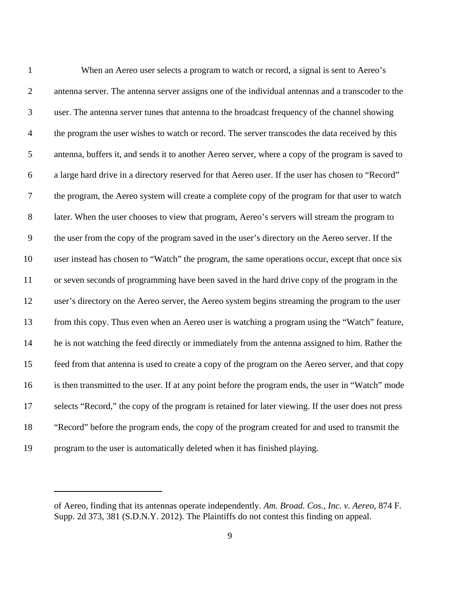| $\mathbf{1}$   | When an Aereo user selects a program to watch or record, a signal is sent to Aereo's                |
|----------------|-----------------------------------------------------------------------------------------------------|
| $\overline{2}$ | antenna server. The antenna server assigns one of the individual antennas and a transcoder to the   |
| 3              | user. The antenna server tunes that antenna to the broadcast frequency of the channel showing       |
| $\overline{4}$ | the program the user wishes to watch or record. The server transcodes the data received by this     |
| 5              | antenna, buffers it, and sends it to another Aereo server, where a copy of the program is saved to  |
| 6              | a large hard drive in a directory reserved for that Aereo user. If the user has chosen to "Record"  |
| $\overline{7}$ | the program, the Aereo system will create a complete copy of the program for that user to watch     |
| $8\,$          | later. When the user chooses to view that program, Aereo's servers will stream the program to       |
| 9              | the user from the copy of the program saved in the user's directory on the Aereo server. If the     |
| 10             | user instead has chosen to "Watch" the program, the same operations occur, except that once six     |
| 11             | or seven seconds of programming have been saved in the hard drive copy of the program in the        |
| 12             | user's directory on the Aereo server, the Aereo system begins streaming the program to the user     |
| 13             | from this copy. Thus even when an Aereo user is watching a program using the "Watch" feature,       |
| 14             | he is not watching the feed directly or immediately from the antenna assigned to him. Rather the    |
| 15             | feed from that antenna is used to create a copy of the program on the Aereo server, and that copy   |
| 16             | is then transmitted to the user. If at any point before the program ends, the user in "Watch" mode  |
| 17             | selects "Record," the copy of the program is retained for later viewing. If the user does not press |
| 18             | "Record" before the program ends, the copy of the program created for and used to transmit the      |
| 19             | program to the user is automatically deleted when it has finished playing.                          |

of Aereo, finding that its antennas operate independently. *Am. Broad. Cos., Inc. v. Aereo*, 874 F. Supp. 2d 373, 381 (S.D.N.Y. 2012). The Plaintiffs do not contest this finding on appeal.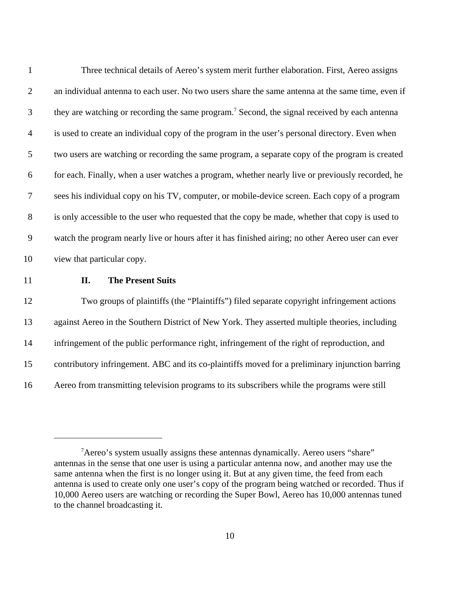| $\mathbf{1}$   | Three technical details of Aereo's system merit further elaboration. First, Aereo assigns                 |
|----------------|-----------------------------------------------------------------------------------------------------------|
| $\overline{2}$ | an individual antenna to each user. No two users share the same antenna at the same time, even if         |
| 3              | they are watching or recording the same program. <sup>7</sup> Second, the signal received by each antenna |
| $\overline{4}$ | is used to create an individual copy of the program in the user's personal directory. Even when           |
| 5              | two users are watching or recording the same program, a separate copy of the program is created           |
| 6              | for each. Finally, when a user watches a program, whether nearly live or previously recorded, he          |
| $\tau$         | sees his individual copy on his TV, computer, or mobile-device screen. Each copy of a program             |
| $8\phantom{.}$ | is only accessible to the user who requested that the copy be made, whether that copy is used to          |
| 9              | watch the program nearly live or hours after it has finished airing; no other Aereo user can ever         |
| 10             | view that particular copy.                                                                                |
| 11             | <b>The Present Suits</b><br>П.                                                                            |
| 12             | Two groups of plaintiffs (the "Plaintiffs") filed separate copyright infringement actions                 |
| 13             | against Aereo in the Southern District of New York. They asserted multiple theories, including            |
| 14             | infringement of the public performance right, infringement of the right of reproduction, and              |
| 15             | contributory infringement. ABC and its co-plaintiffs moved for a preliminary injunction barring           |
|                |                                                                                                           |

Aereo from transmitting television programs to its subscribers while the programs were still

<sup>&</sup>lt;sup>7</sup>Aereo's system usually assigns these antennas dynamically. Aereo users "share" antennas in the sense that one user is using a particular antenna now, and another may use the same antenna when the first is no longer using it. But at any given time, the feed from each antenna is used to create only one user's copy of the program being watched or recorded. Thus if 10,000 Aereo users are watching or recording the Super Bowl, Aereo has 10,000 antennas tuned to the channel broadcasting it.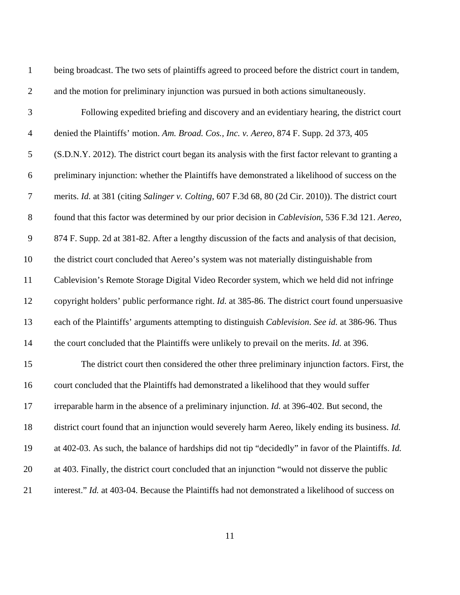| $\mathbf{1}$   | being broadcast. The two sets of plaintiffs agreed to proceed before the district court in tandem,   |
|----------------|------------------------------------------------------------------------------------------------------|
| $\overline{2}$ | and the motion for preliminary injunction was pursued in both actions simultaneously.                |
| $\mathfrak{Z}$ | Following expedited briefing and discovery and an evidentiary hearing, the district court            |
| $\overline{4}$ | denied the Plaintiffs' motion. Am. Broad. Cos., Inc. v. Aereo, 874 F. Supp. 2d 373, 405              |
| 5              | (S.D.N.Y. 2012). The district court began its analysis with the first factor relevant to granting a  |
| 6              | preliminary injunction: whether the Plaintiffs have demonstrated a likelihood of success on the      |
| 7              | merits. Id. at 381 (citing Salinger v. Colting, 607 F.3d 68, 80 (2d Cir. 2010)). The district court  |
| $8\phantom{1}$ | found that this factor was determined by our prior decision in Cablevision, 536 F.3d 121. Aereo,     |
| 9              | 874 F. Supp. 2d at 381-82. After a lengthy discussion of the facts and analysis of that decision,    |
| 10             | the district court concluded that Aereo's system was not materially distinguishable from             |
| 11             | Cablevision's Remote Storage Digital Video Recorder system, which we held did not infringe           |
| 12             | copyright holders' public performance right. Id. at 385-86. The district court found unpersuasive    |
| 13             | each of the Plaintiffs' arguments attempting to distinguish Cablevision. See id. at 386-96. Thus     |
| 14             | the court concluded that the Plaintiffs were unlikely to prevail on the merits. Id. at 396.          |
| 15             | The district court then considered the other three preliminary injunction factors. First, the        |
| 16             | court concluded that the Plaintiffs had demonstrated a likelihood that they would suffer             |
| 17             | irreparable harm in the absence of a preliminary injunction. <i>Id.</i> at 396-402. But second, the  |
| 18             | district court found that an injunction would severely harm Aereo, likely ending its business. Id.   |
| 19             | at 402-03. As such, the balance of hardships did not tip "decidedly" in favor of the Plaintiffs. Id. |
| 20             | at 403. Finally, the district court concluded that an injunction "would not disserve the public      |
| 21             | interest." Id. at 403-04. Because the Plaintiffs had not demonstrated a likelihood of success on     |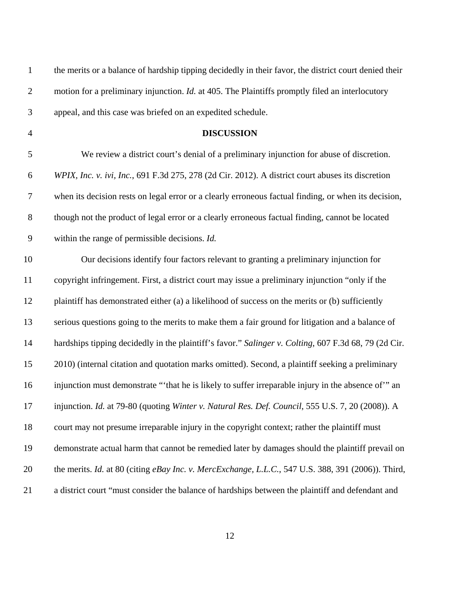| $\mathbf{1}$     | the merits or a balance of hardship tipping decidedly in their favor, the district court denied their  |
|------------------|--------------------------------------------------------------------------------------------------------|
| $\mathfrak{2}$   | motion for a preliminary injunction. <i>Id.</i> at 405. The Plaintiffs promptly filed an interlocutory |
| 3                | appeal, and this case was briefed on an expedited schedule.                                            |
| $\overline{4}$   | <b>DISCUSSION</b>                                                                                      |
| 5                | We review a district court's denial of a preliminary injunction for abuse of discretion.               |
| 6                | WPIX, Inc. v. ivi, Inc., 691 F.3d 275, 278 (2d Cir. 2012). A district court abuses its discretion      |
| $\boldsymbol{7}$ | when its decision rests on legal error or a clearly erroneous factual finding, or when its decision,   |
| $8\,$            | though not the product of legal error or a clearly erroneous factual finding, cannot be located        |
| $\mathbf{9}$     | within the range of permissible decisions. Id.                                                         |
| 10               | Our decisions identify four factors relevant to granting a preliminary injunction for                  |
| 11               | copyright infringement. First, a district court may issue a preliminary injunction "only if the        |
| 12               | plaintiff has demonstrated either (a) a likelihood of success on the merits or (b) sufficiently        |
| 13               | serious questions going to the merits to make them a fair ground for litigation and a balance of       |
| 14               | hardships tipping decidedly in the plaintiff's favor." Salinger v. Colting, 607 F.3d 68, 79 (2d Cir.   |
| 15               | 2010) (internal citation and quotation marks omitted). Second, a plaintiff seeking a preliminary       |
| 16               | injunction must demonstrate "that he is likely to suffer irreparable injury in the absence of" an      |
| 17               | injunction. Id. at 79-80 (quoting Winter v. Natural Res. Def. Council, 555 U.S. 7, 20 (2008)). A       |
| 18               | court may not presume irreparable injury in the copyright context; rather the plaintiff must           |
| 19               | demonstrate actual harm that cannot be remedied later by damages should the plaintiff prevail on       |
| 20               | the merits. Id. at 80 (citing eBay Inc. v. MercExchange, L.L.C., 547 U.S. 388, 391 (2006)). Third,     |
| 21               | a district court "must consider the balance of hardships between the plaintiff and defendant and       |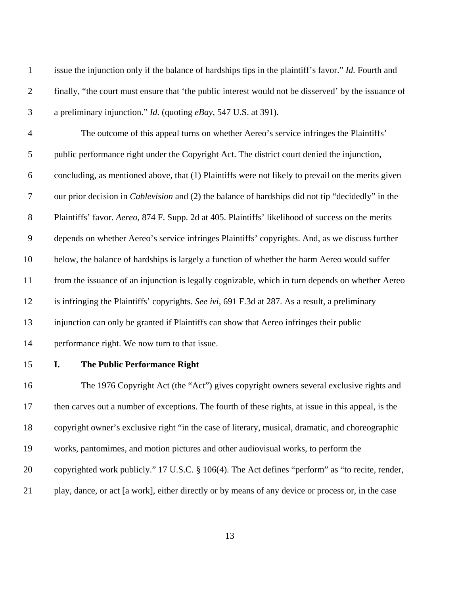| $\mathbf{1}$   | issue the injunction only if the balance of hardships tips in the plaintiff's favor." Id. Fourth and     |
|----------------|----------------------------------------------------------------------------------------------------------|
| $\overline{2}$ | finally, "the court must ensure that 'the public interest would not be disserved' by the issuance of     |
| 3              | a preliminary injunction." <i>Id.</i> (quoting $eBay$ , 547 U.S. at 391).                                |
| $\overline{4}$ | The outcome of this appeal turns on whether Aereo's service infringes the Plaintiffs'                    |
| $\mathfrak{S}$ | public performance right under the Copyright Act. The district court denied the injunction,              |
| 6              | concluding, as mentioned above, that (1) Plaintiffs were not likely to prevail on the merits given       |
| 7              | our prior decision in <i>Cablevision</i> and (2) the balance of hardships did not tip "decidedly" in the |
| $8\,$          | Plaintiffs' favor. Aereo, 874 F. Supp. 2d at 405. Plaintiffs' likelihood of success on the merits        |
| 9              | depends on whether Aereo's service infringes Plaintiffs' copyrights. And, as we discuss further          |
| 10             | below, the balance of hardships is largely a function of whether the harm Aereo would suffer             |
| 11             | from the issuance of an injunction is legally cognizable, which in turn depends on whether Aereo         |
| 12             | is infringing the Plaintiffs' copyrights. See ivi, 691 F.3d at 287. As a result, a preliminary           |
| 13             | injunction can only be granted if Plaintiffs can show that Aereo infringes their public                  |
| 14             | performance right. We now turn to that issue.                                                            |
| 15             | The Public Performance Right<br>I.                                                                       |
| 16             | The 1976 Copyright Act (the "Act") gives copyright owners several exclusive rights and                   |
| 17             | then carves out a number of exceptions. The fourth of these rights, at issue in this appeal, is the      |
| 18             | copyright owner's exclusive right "in the case of literary, musical, dramatic, and choreographic         |
| 19             | works, pantomimes, and motion pictures and other audiovisual works, to perform the                       |
| 20             | copyrighted work publicly." 17 U.S.C. § 106(4). The Act defines "perform" as "to recite, render,         |
| 21             | play, dance, or act [a work], either directly or by means of any device or process or, in the case       |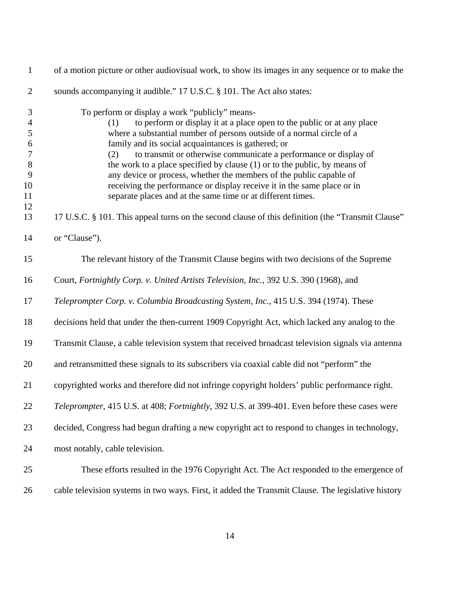| $\mathbf{1}$                                                                                            | of a motion picture or other audiovisual work, to show its images in any sequence or to make the                                                                                                                                                                                                                                                                                                                                                                                                                                                                                                                                         |
|---------------------------------------------------------------------------------------------------------|------------------------------------------------------------------------------------------------------------------------------------------------------------------------------------------------------------------------------------------------------------------------------------------------------------------------------------------------------------------------------------------------------------------------------------------------------------------------------------------------------------------------------------------------------------------------------------------------------------------------------------------|
| $\overline{2}$                                                                                          | sounds accompanying it audible." 17 U.S.C. § 101. The Act also states:                                                                                                                                                                                                                                                                                                                                                                                                                                                                                                                                                                   |
| $\mathfrak{Z}$<br>$\overline{4}$<br>$\sqrt{5}$<br>6<br>$\boldsymbol{7}$<br>$8\,$<br>9<br>10<br>11<br>12 | To perform or display a work "publicly" means-<br>to perform or display it at a place open to the public or at any place<br>(1)<br>where a substantial number of persons outside of a normal circle of a<br>family and its social acquaintances is gathered; or<br>to transmit or otherwise communicate a performance or display of<br>(2)<br>the work to a place specified by clause (1) or to the public, by means of<br>any device or process, whether the members of the public capable of<br>receiving the performance or display receive it in the same place or in<br>separate places and at the same time or at different times. |
| 13                                                                                                      | 17 U.S.C. § 101. This appeal turns on the second clause of this definition (the "Transmit Clause"                                                                                                                                                                                                                                                                                                                                                                                                                                                                                                                                        |
| 14                                                                                                      | or "Clause").                                                                                                                                                                                                                                                                                                                                                                                                                                                                                                                                                                                                                            |
| 15                                                                                                      | The relevant history of the Transmit Clause begins with two decisions of the Supreme                                                                                                                                                                                                                                                                                                                                                                                                                                                                                                                                                     |
| 16                                                                                                      | Court, Fortnightly Corp. v. United Artists Television, Inc., 392 U.S. 390 (1968), and                                                                                                                                                                                                                                                                                                                                                                                                                                                                                                                                                    |
| 17                                                                                                      | Teleprompter Corp. v. Columbia Broadcasting System, Inc., 415 U.S. 394 (1974). These                                                                                                                                                                                                                                                                                                                                                                                                                                                                                                                                                     |
| 18                                                                                                      | decisions held that under the then-current 1909 Copyright Act, which lacked any analog to the                                                                                                                                                                                                                                                                                                                                                                                                                                                                                                                                            |
| 19                                                                                                      | Transmit Clause, a cable television system that received broadcast television signals via antenna                                                                                                                                                                                                                                                                                                                                                                                                                                                                                                                                        |
| 20                                                                                                      | and retransmitted these signals to its subscribers via coaxial cable did not "perform" the                                                                                                                                                                                                                                                                                                                                                                                                                                                                                                                                               |
| 21                                                                                                      | copyrighted works and therefore did not infringe copyright holders' public performance right.                                                                                                                                                                                                                                                                                                                                                                                                                                                                                                                                            |
| 22                                                                                                      | Teleprompter, 415 U.S. at 408; Fortnightly, 392 U.S. at 399-401. Even before these cases were                                                                                                                                                                                                                                                                                                                                                                                                                                                                                                                                            |
| 23                                                                                                      | decided, Congress had begun drafting a new copyright act to respond to changes in technology,                                                                                                                                                                                                                                                                                                                                                                                                                                                                                                                                            |
| 24                                                                                                      | most notably, cable television.                                                                                                                                                                                                                                                                                                                                                                                                                                                                                                                                                                                                          |
| 25                                                                                                      | These efforts resulted in the 1976 Copyright Act. The Act responded to the emergence of                                                                                                                                                                                                                                                                                                                                                                                                                                                                                                                                                  |
| 26                                                                                                      | cable television systems in two ways. First, it added the Transmit Clause. The legislative history                                                                                                                                                                                                                                                                                                                                                                                                                                                                                                                                       |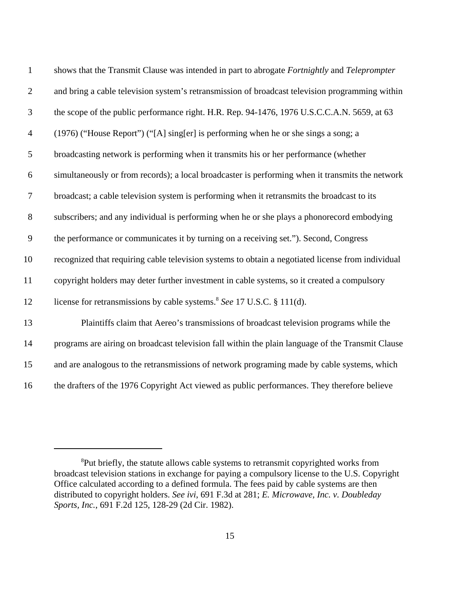| $\mathbf{1}$   | shows that the Transmit Clause was intended in part to abrogate Fortnightly and Teleprompter      |
|----------------|---------------------------------------------------------------------------------------------------|
| $\overline{2}$ | and bring a cable television system's retransmission of broadcast television programming within   |
| 3              | the scope of the public performance right. H.R. Rep. 94-1476, 1976 U.S.C.C.A.N. 5659, at 63       |
| $\overline{4}$ | (1976) ("House Report") ("[A] sing[er] is performing when he or she sings a song; a               |
| 5              | broadcasting network is performing when it transmits his or her performance (whether              |
| 6              | simultaneously or from records); a local broadcaster is performing when it transmits the network  |
| $\tau$         | broadcast; a cable television system is performing when it retransmits the broadcast to its       |
| $8\,$          | subscribers; and any individual is performing when he or she plays a phonorecord embodying        |
| 9              | the performance or communicates it by turning on a receiving set."). Second, Congress             |
| 10             | recognized that requiring cable television systems to obtain a negotiated license from individual |
| 11             | copyright holders may deter further investment in cable systems, so it created a compulsory       |
| 12             | license for retransmissions by cable systems. <sup>8</sup> See 17 U.S.C. § 111(d).                |
| 13             | Plaintiffs claim that Aereo's transmissions of broadcast television programs while the            |
| 14             | programs are airing on broadcast television fall within the plain language of the Transmit Clause |
| 15             | and are analogous to the retransmissions of network programing made by cable systems, which       |
| 16             | the drafters of the 1976 Copyright Act viewed as public performances. They therefore believe      |

<sup>&</sup>lt;sup>8</sup>Put briefly, the statute allows cable systems to retransmit copyrighted works from broadcast television stations in exchange for paying a compulsory license to the U.S. Copyright Office calculated according to a defined formula. The fees paid by cable systems are then distributed to copyright holders. *See ivi*, 691 F.3d at 281; *E. Microwave, Inc. v. Doubleday Sports, Inc.*, 691 F.2d 125, 128-29 (2d Cir. 1982).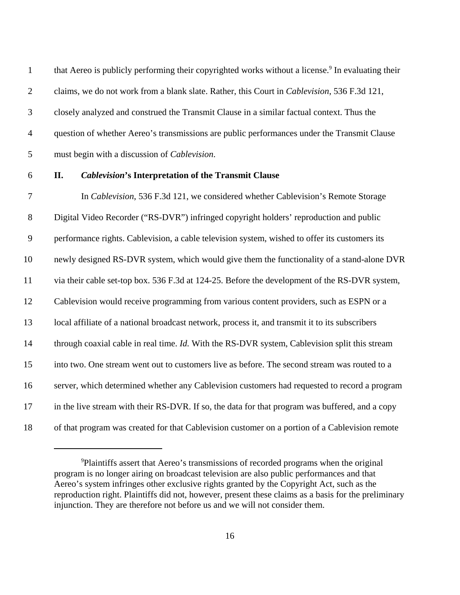that Aereo is publicly performing their copyrighted works without a license.<sup>9</sup> In evaluating their claims, we do not work from a blank slate. Rather, this Court in *Cablevision*, 536 F.3d 121, closely analyzed and construed the Transmit Clause in a similar factual context. Thus the question of whether Aereo's transmissions are public performances under the Transmit Clause must begin with a discussion of *Cablevision*.

# **II.** *Cablevision***'s Interpretation of the Transmit Clause**

 In *Cablevision*, 536 F.3d 121, we considered whether Cablevision's Remote Storage Digital Video Recorder ("RS-DVR") infringed copyright holders' reproduction and public performance rights. Cablevision, a cable television system, wished to offer its customers its newly designed RS-DVR system, which would give them the functionality of a stand-alone DVR via their cable set-top box. 536 F.3d at 124-25. Before the development of the RS-DVR system, Cablevision would receive programming from various content providers, such as ESPN or a local affiliate of a national broadcast network, process it, and transmit it to its subscribers through coaxial cable in real time. *Id.* With the RS-DVR system, Cablevision split this stream into two. One stream went out to customers live as before. The second stream was routed to a server, which determined whether any Cablevision customers had requested to record a program in the live stream with their RS-DVR. If so, the data for that program was buffered, and a copy of that program was created for that Cablevision customer on a portion of a Cablevision remote

 Plaintiffs assert that Aereo's transmissions of recorded programs when the original program is no longer airing on broadcast television are also public performances and that Aereo's system infringes other exclusive rights granted by the Copyright Act, such as the reproduction right. Plaintiffs did not, however, present these claims as a basis for the preliminary injunction. They are therefore not before us and we will not consider them.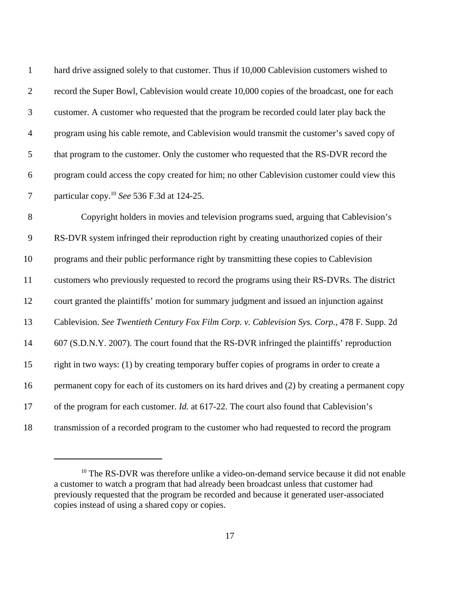| $\mathbf{1}$     | hard drive assigned solely to that customer. Thus if 10,000 Cablevision customers wished to      |
|------------------|--------------------------------------------------------------------------------------------------|
| $\mathbf{2}$     | record the Super Bowl, Cablevision would create 10,000 copies of the broadcast, one for each     |
| $\mathfrak{Z}$   | customer. A customer who requested that the program be recorded could later play back the        |
| $\overline{4}$   | program using his cable remote, and Cablevision would transmit the customer's saved copy of      |
| $\mathfrak{S}$   | that program to the customer. Only the customer who requested that the RS-DVR record the         |
| 6                | program could access the copy created for him; no other Cablevision customer could view this     |
| $\boldsymbol{7}$ | particular copy. <sup>10</sup> See 536 F.3d at 124-25.                                           |
| $8\,$            | Copyright holders in movies and television programs sued, arguing that Cablevision's             |
| 9                | RS-DVR system infringed their reproduction right by creating unauthorized copies of their        |
| 10               | programs and their public performance right by transmitting these copies to Cablevision          |
| $11\,$           | customers who previously requested to record the programs using their RS-DVRs. The district      |
| 12               | court granted the plaintiffs' motion for summary judgment and issued an injunction against       |
| 13               | Cablevision. See Twentieth Century Fox Film Corp. v. Cablevision Sys. Corp., 478 F. Supp. 2d     |
| 14               | 607 (S.D.N.Y. 2007). The court found that the RS-DVR infringed the plaintiffs' reproduction      |
| 15               | right in two ways: (1) by creating temporary buffer copies of programs in order to create a      |
| 16               | permanent copy for each of its customers on its hard drives and (2) by creating a permanent copy |
| 17               | of the program for each customer. <i>Id.</i> at 617-22. The court also found that Cablevision's  |
| 18               | transmission of a recorded program to the customer who had requested to record the program       |

<sup>&</sup>lt;sup>10</sup> The RS-DVR was therefore unlike a video-on-demand service because it did not enable a customer to watch a program that had already been broadcast unless that customer had previously requested that the program be recorded and because it generated user-associated copies instead of using a shared copy or copies.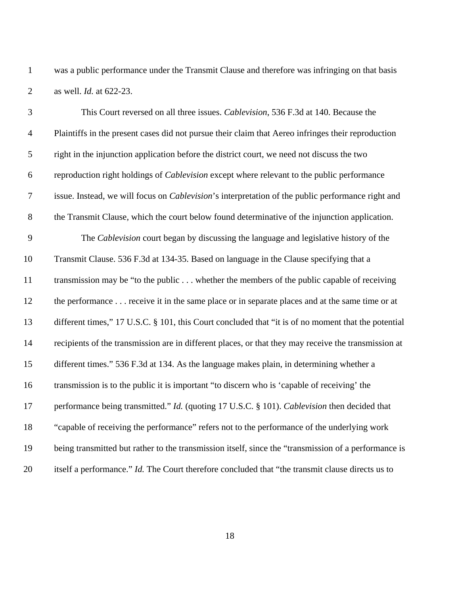was a public performance under the Transmit Clause and therefore was infringing on that basis as well. *Id.* at 622-23.

| $\mathfrak{Z}$ | This Court reversed on all three issues. Cablevision, 536 F.3d at 140. Because the                        |
|----------------|-----------------------------------------------------------------------------------------------------------|
| $\overline{4}$ | Plaintiffs in the present cases did not pursue their claim that Aereo infringes their reproduction        |
| $\mathfrak s$  | right in the injunction application before the district court, we need not discuss the two                |
| 6              | reproduction right holdings of <i>Cablevision</i> except where relevant to the public performance         |
| $\tau$         | issue. Instead, we will focus on <i>Cablevision</i> 's interpretation of the public performance right and |
| $8\,$          | the Transmit Clause, which the court below found determinative of the injunction application.             |
| 9              | The Cablevision court began by discussing the language and legislative history of the                     |
| 10             | Transmit Clause. 536 F.3d at 134-35. Based on language in the Clause specifying that a                    |
| 11             | transmission may be "to the public  whether the members of the public capable of receiving                |
| 12             | the performance receive it in the same place or in separate places and at the same time or at             |
| 13             | different times," 17 U.S.C. § 101, this Court concluded that "it is of no moment that the potential       |
| 14             | recipients of the transmission are in different places, or that they may receive the transmission at      |
| 15             | different times." 536 F.3d at 134. As the language makes plain, in determining whether a                  |
| 16             | transmission is to the public it is important "to discern who is 'capable of receiving' the               |
| 17             | performance being transmitted." Id. (quoting 17 U.S.C. § 101). Cablevision then decided that              |
| 18             | "capable of receiving the performance" refers not to the performance of the underlying work               |
| 19             | being transmitted but rather to the transmission itself, since the "transmission of a performance is      |
| 20             | itself a performance." Id. The Court therefore concluded that "the transmit clause directs us to          |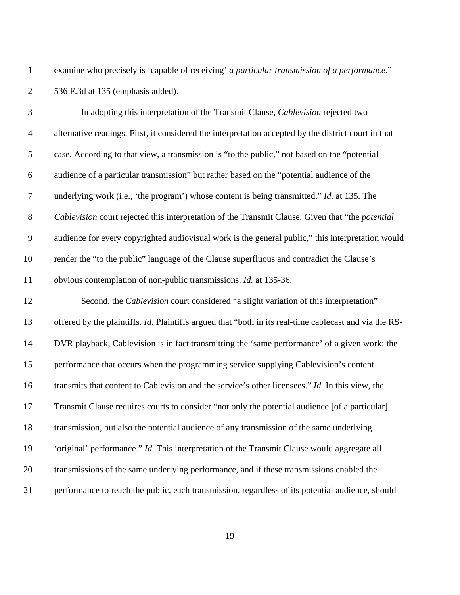examine who precisely is 'capable of receiving' *a particular transmission of a performance*." 536 F.3d at 135 (emphasis added).

 In adopting this interpretation of the Transmit Clause, *Cablevision* rejected two alternative readings. First, it considered the interpretation accepted by the district court in that case. According to that view, a transmission is "to the public," not based on the "potential audience of a particular transmission" but rather based on the "potential audience of the underlying work (i.e., 'the program') whose content is being transmitted." *Id.* at 135. The *Cablevision* court rejected this interpretation of the Transmit Clause. Given that "the *potential* audience for every copyrighted audiovisual work is the general public," this interpretation would render the "to the public" language of the Clause superfluous and contradict the Clause's obvious contemplation of non-public transmissions. *Id.* at 135-36.

 Second, the *Cablevision* court considered "a slight variation of this interpretation" offered by the plaintiffs. *Id.* Plaintiffs argued that "both in its real-time cablecast and via the RS- DVR playback, Cablevision is in fact transmitting the 'same performance' of a given work: the performance that occurs when the programming service supplying Cablevision's content transmits that content to Cablevision and the service's other licensees." *Id.* In this view, the Transmit Clause requires courts to consider "not only the potential audience [of a particular] transmission, but also the potential audience of any transmission of the same underlying 'original' performance." *Id.* This interpretation of the Transmit Clause would aggregate all transmissions of the same underlying performance, and if these transmissions enabled the performance to reach the public, each transmission, regardless of its potential audience, should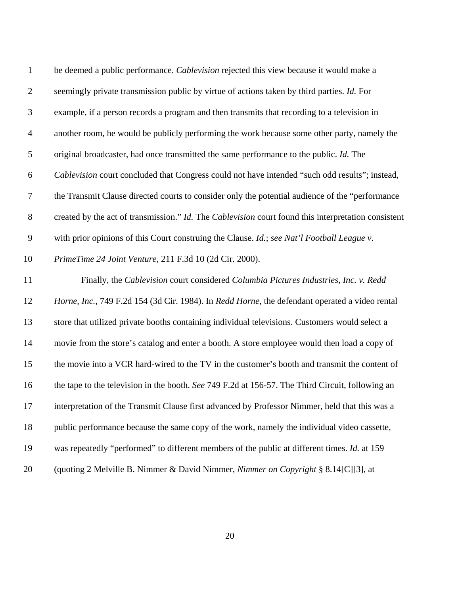| $\mathbf{1}$     | be deemed a public performance. Cablevision rejected this view because it would make a              |
|------------------|-----------------------------------------------------------------------------------------------------|
| $\mathbf{2}$     | seemingly private transmission public by virtue of actions taken by third parties. Id. For          |
| $\mathfrak{Z}$   | example, if a person records a program and then transmits that recording to a television in         |
| $\overline{4}$   | another room, he would be publicly performing the work because some other party, namely the         |
| 5                | original broadcaster, had once transmitted the same performance to the public. Id. The              |
| 6                | Cablevision court concluded that Congress could not have intended "such odd results"; instead,      |
| $\boldsymbol{7}$ | the Transmit Clause directed courts to consider only the potential audience of the "performance     |
| $8\,$            | created by the act of transmission." Id. The Cablevision court found this interpretation consistent |
| $\mathbf{9}$     | with prior opinions of this Court construing the Clause. Id.; see Nat'l Football League v.          |
| 10               | PrimeTime 24 Joint Venture, 211 F.3d 10 (2d Cir. 2000).                                             |
| 11               | Finally, the Cablevision court considered Columbia Pictures Industries, Inc. v. Redd                |
| 12               | Horne, Inc., 749 F.2d 154 (3d Cir. 1984). In Redd Horne, the defendant operated a video rental      |
| 13               | store that utilized private booths containing individual televisions. Customers would select a      |
| 14               | movie from the store's catalog and enter a booth. A store employee would then load a copy of        |
| 15               | the movie into a VCR hard-wired to the TV in the customer's booth and transmit the content of       |
| 16               | the tape to the television in the booth. See 749 F.2d at 156-57. The Third Circuit, following an    |
| 17               | interpretation of the Transmit Clause first advanced by Professor Nimmer, held that this was a      |
| 18               | public performance because the same copy of the work, namely the individual video cassette,         |
| 19               | was repeatedly "performed" to different members of the public at different times. <i>Id.</i> at 159 |
| 20               | (quoting 2 Melville B. Nimmer & David Nimmer, Nimmer on Copyright § 8.14[C][3], at                  |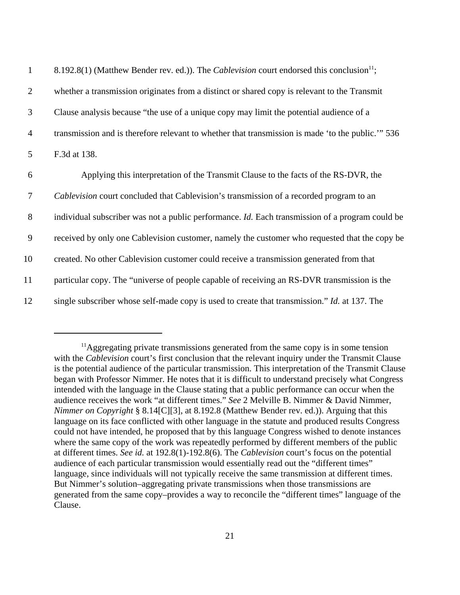| $\mathbf{1}$ | 8.192.8(1) (Matthew Bender rev. ed.)). The <i>Cablevision</i> court endorsed this conclusion <sup>11</sup> ; |
|--------------|--------------------------------------------------------------------------------------------------------------|
| 2            | whether a transmission originates from a distinct or shared copy is relevant to the Transmit                 |
| 3            | Clause analysis because "the use of a unique copy may limit the potential audience of a                      |
| 4            | transmission and is therefore relevant to whether that transmission is made 'to the public." 536             |
| 5            | F.3d at 138.                                                                                                 |
| 6            | Applying this interpretation of the Transmit Clause to the facts of the RS-DVR, the                          |
| 7            | Cablevision court concluded that Cablevision's transmission of a recorded program to an                      |
| 8            | individual subscriber was not a public performance. <i>Id.</i> Each transmission of a program could be       |
| 9            | received by only one Cablevision customer, namely the customer who requested that the copy be                |
| 10           | created. No other Cablevision customer could receive a transmission generated from that                      |
| 11           | particular copy. The "universe of people capable of receiving an RS-DVR transmission is the                  |
| 12           | single subscriber whose self-made copy is used to create that transmission." <i>Id.</i> at 137. The          |

 $<sup>11</sup>$ Aggregating private transmissions generated from the same copy is in some tension</sup> with the *Cablevision* court's first conclusion that the relevant inquiry under the Transmit Clause is the potential audience of the particular transmission. This interpretation of the Transmit Clause began with Professor Nimmer. He notes that it is difficult to understand precisely what Congress intended with the language in the Clause stating that a public performance can occur when the audience receives the work "at different times." *See* 2 Melville B. Nimmer & David Nimmer, *Nimmer on Copyright* § 8.14[C][3], at 8.192.8 (Matthew Bender rev. ed.)). Arguing that this language on its face conflicted with other language in the statute and produced results Congress could not have intended, he proposed that by this language Congress wished to denote instances where the same copy of the work was repeatedly performed by different members of the public at different times. *See id.* at 192.8(1)-192.8(6). The *Cablevision* court's focus on the potential audience of each particular transmission would essentially read out the "different times" language, since individuals will not typically receive the same transmission at different times. But Nimmer's solution–aggregating private transmissions when those transmissions are generated from the same copy–provides a way to reconcile the "different times" language of the Clause.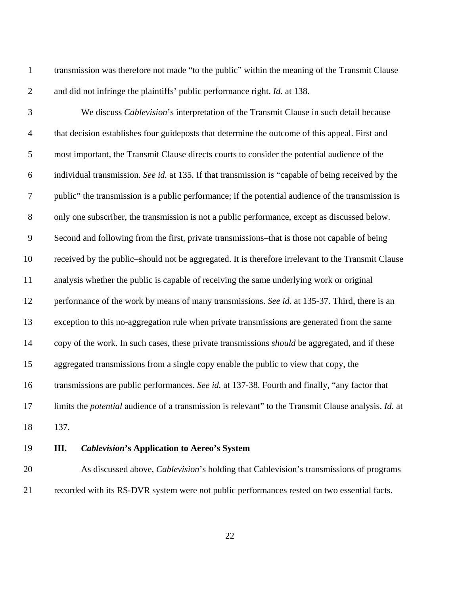transmission was therefore not made "to the public" within the meaning of the Transmit Clause and did not infringe the plaintiffs' public performance right. *Id.* at 138.

- We discuss *Cablevision*'s interpretation of the Transmit Clause in such detail because that decision establishes four guideposts that determine the outcome of this appeal. First and most important, the Transmit Clause directs courts to consider the potential audience of the individual transmission. *See id.* at 135. If that transmission is "capable of being received by the public" the transmission is a public performance; if the potential audience of the transmission is only one subscriber, the transmission is not a public performance, except as discussed below. Second and following from the first, private transmissions–that is those not capable of being received by the public–should not be aggregated. It is therefore irrelevant to the Transmit Clause analysis whether the public is capable of receiving the same underlying work or original performance of the work by means of many transmissions. *See id.* at 135-37. Third, there is an exception to this no-aggregation rule when private transmissions are generated from the same copy of the work. In such cases, these private transmissions *should* be aggregated, and if these aggregated transmissions from a single copy enable the public to view that copy, the transmissions are public performances. *See id.* at 137-38. Fourth and finally, "any factor that limits the *potential* audience of a transmission is relevant" to the Transmit Clause analysis. *Id.* at 137.
- 

# **III.** *Cablevision***'s Application to Aereo's System**

 As discussed above, *Cablevision*'s holding that Cablevision's transmissions of programs recorded with its RS-DVR system were not public performances rested on two essential facts.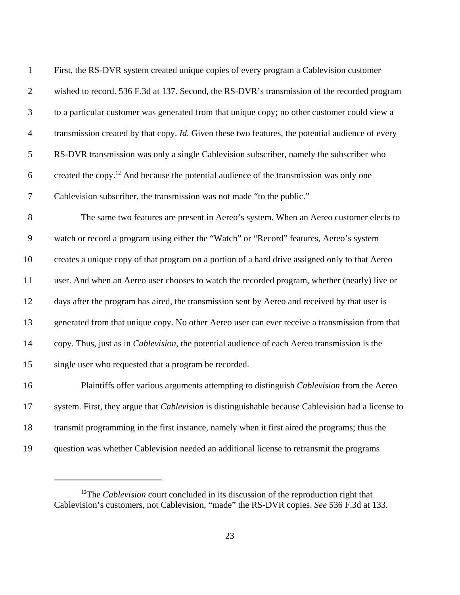| $\mathbf{1}$   | First, the RS-DVR system created unique copies of every program a Cablevision customer                    |
|----------------|-----------------------------------------------------------------------------------------------------------|
| $\overline{2}$ | wished to record. 536 F.3d at 137. Second, the RS-DVR's transmission of the recorded program              |
| 3              | to a particular customer was generated from that unique copy; no other customer could view a              |
| $\overline{4}$ | transmission created by that copy. Id. Given these two features, the potential audience of every          |
| 5              | RS-DVR transmission was only a single Cablevision subscriber, namely the subscriber who                   |
| 6              | created the copy. <sup>12</sup> And because the potential audience of the transmission was only one       |
| $\overline{7}$ | Cablevision subscriber, the transmission was not made "to the public."                                    |
| $8\,$          | The same two features are present in Aereo's system. When an Aereo customer elects to                     |
| 9              | watch or record a program using either the "Watch" or "Record" features, Aereo's system                   |
| 10             | creates a unique copy of that program on a portion of a hard drive assigned only to that Aereo            |
| 11             | user. And when an Aereo user chooses to watch the recorded program, whether (nearly) live or              |
| 12             | days after the program has aired, the transmission sent by Aereo and received by that user is             |
| 13             | generated from that unique copy. No other Aereo user can ever receive a transmission from that            |
| 14             | copy. Thus, just as in <i>Cablevision</i> , the potential audience of each Aereo transmission is the      |
| 15             | single user who requested that a program be recorded.                                                     |
| 16             | Plaintiffs offer various arguments attempting to distinguish Cablevision from the Aereo                   |
| 17             | system. First, they argue that <i>Cablevision</i> is distinguishable because Cablevision had a license to |
| 18             | transmit programming in the first instance, namely when it first aired the programs; thus the             |
| 19             | question was whether Cablevision needed an additional license to retransmit the programs                  |

<sup>&</sup>lt;sup>12</sup>The *Cablevision* court concluded in its discussion of the reproduction right that Cablevision's customers, not Cablevision, "made" the RS-DVR copies. *See* 536 F.3d at 133.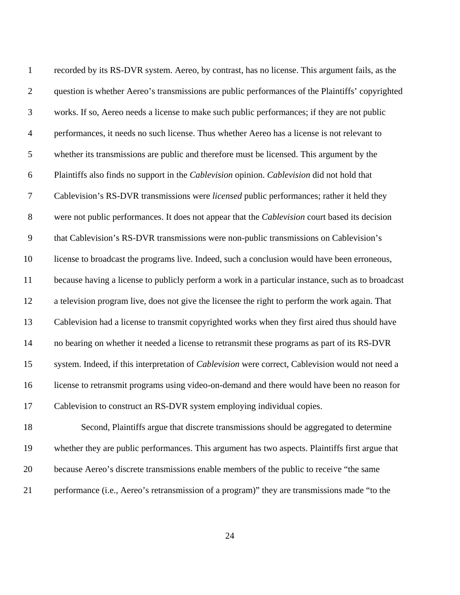| $\mathbf{1}$   | recorded by its RS-DVR system. Aereo, by contrast, has no license. This argument fails, as the     |
|----------------|----------------------------------------------------------------------------------------------------|
| $\overline{2}$ | question is whether Aereo's transmissions are public performances of the Plaintiffs' copyrighted   |
| 3              | works. If so, Aereo needs a license to make such public performances; if they are not public       |
| $\overline{4}$ | performances, it needs no such license. Thus whether Aereo has a license is not relevant to        |
| 5              | whether its transmissions are public and therefore must be licensed. This argument by the          |
| 6              | Plaintiffs also finds no support in the Cablevision opinion. Cablevision did not hold that         |
| 7              | Cablevision's RS-DVR transmissions were <i>licensed</i> public performances; rather it held they   |
| $8\,$          | were not public performances. It does not appear that the Cablevision court based its decision     |
| 9              | that Cablevision's RS-DVR transmissions were non-public transmissions on Cablevision's             |
| 10             | license to broadcast the programs live. Indeed, such a conclusion would have been erroneous,       |
| 11             | because having a license to publicly perform a work in a particular instance, such as to broadcast |
| 12             | a television program live, does not give the licensee the right to perform the work again. That    |
| 13             | Cablevision had a license to transmit copyrighted works when they first aired thus should have     |
| 14             | no bearing on whether it needed a license to retransmit these programs as part of its RS-DVR       |
| 15             | system. Indeed, if this interpretation of Cablevision were correct, Cablevision would not need a   |
| 16             | license to retransmit programs using video-on-demand and there would have been no reason for       |
| 17             | Cablevision to construct an RS-DVR system employing individual copies.                             |
| 18             | Second, Plaintiffs argue that discrete transmissions should be aggregated to determine             |
| 19             | whether they are public performances. This argument has two aspects. Plaintiffs first argue that   |
| 20             | because Aereo's discrete transmissions enable members of the public to receive "the same           |
|                |                                                                                                    |

performance (i.e., Aereo's retransmission of a program)" they are transmissions made "to the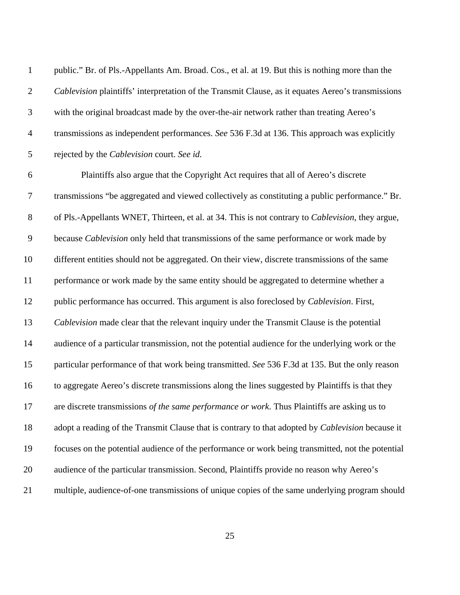| $\mathbf{1}$   | public." Br. of Pls.-Appellants Am. Broad. Cos., et al. at 19. But this is nothing more than the   |
|----------------|----------------------------------------------------------------------------------------------------|
| $\mathbf{2}$   | Cablevision plaintiffs' interpretation of the Transmit Clause, as it equates Aereo's transmissions |
| $\mathfrak{Z}$ | with the original broadcast made by the over-the-air network rather than treating Aereo's          |
| $\overline{4}$ | transmissions as independent performances. See 536 F.3d at 136. This approach was explicitly       |
| 5              | rejected by the Cablevision court. See id.                                                         |
| 6              | Plaintiffs also argue that the Copyright Act requires that all of Aereo's discrete                 |
| $\tau$         | transmissions "be aggregated and viewed collectively as constituting a public performance." Br.    |
| $8\,$          | of Pls.-Appellants WNET, Thirteen, et al. at 34. This is not contrary to Cablevision, they argue,  |
| $\mathbf{9}$   | because Cablevision only held that transmissions of the same performance or work made by           |
| 10             | different entities should not be aggregated. On their view, discrete transmissions of the same     |
| 11             | performance or work made by the same entity should be aggregated to determine whether a            |
| 12             | public performance has occurred. This argument is also foreclosed by Cablevision. First,           |
| 13             | Cablevision made clear that the relevant inquiry under the Transmit Clause is the potential        |
| 14             | audience of a particular transmission, not the potential audience for the underlying work or the   |
| 15             | particular performance of that work being transmitted. See 536 F.3d at 135. But the only reason    |
| 16             | to aggregate Aereo's discrete transmissions along the lines suggested by Plaintiffs is that they   |
| 17             | are discrete transmissions of the same performance or work. Thus Plaintiffs are asking us to       |
| 18             | adopt a reading of the Transmit Clause that is contrary to that adopted by Cablevision because it  |
| 19             | focuses on the potential audience of the performance or work being transmitted, not the potential  |
| 20             | audience of the particular transmission. Second, Plaintiffs provide no reason why Aereo's          |
| 21             | multiple, audience-of-one transmissions of unique copies of the same underlying program should     |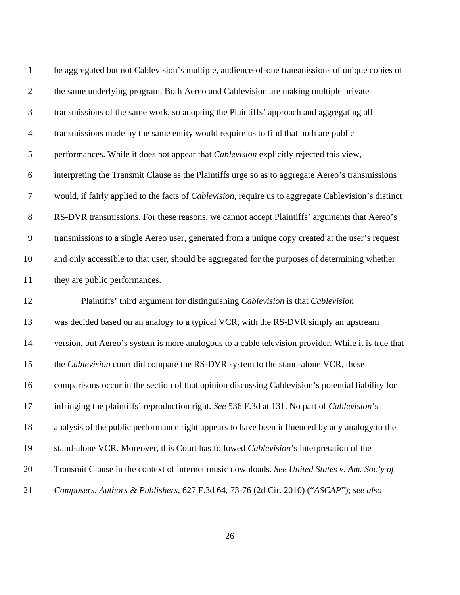| $\mathbf{1}$     | be aggregated but not Cablevision's multiple, audience-of-one transmissions of unique copies of              |
|------------------|--------------------------------------------------------------------------------------------------------------|
| $\overline{2}$   | the same underlying program. Both Aereo and Cablevision are making multiple private                          |
| $\mathfrak{Z}$   | transmissions of the same work, so adopting the Plaintiffs' approach and aggregating all                     |
| $\overline{4}$   | transmissions made by the same entity would require us to find that both are public                          |
| 5                | performances. While it does not appear that Cablevision explicitly rejected this view,                       |
| 6                | interpreting the Transmit Clause as the Plaintiffs urge so as to aggregate Aereo's transmissions             |
| $\boldsymbol{7}$ | would, if fairly applied to the facts of <i>Cablevision</i> , require us to aggregate Cablevision's distinct |
| $8\,$            | RS-DVR transmissions. For these reasons, we cannot accept Plaintiffs' arguments that Aereo's                 |
| 9                | transmissions to a single Aereo user, generated from a unique copy created at the user's request             |
| 10               | and only accessible to that user, should be aggregated for the purposes of determining whether               |
| 11               | they are public performances.                                                                                |
| 12               | Plaintiffs' third argument for distinguishing Cablevision is that Cablevision                                |
| 13               | was decided based on an analogy to a typical VCR, with the RS-DVR simply an upstream                         |
| 14               | version, but Aereo's system is more analogous to a cable television provider. While it is true that          |
| 15               | the Cablevision court did compare the RS-DVR system to the stand-alone VCR, these                            |
| 16               | comparisons occur in the section of that opinion discussing Cablevision's potential liability for            |
| 17               | infringing the plaintiffs' reproduction right. See 536 F.3d at 131. No part of Cablevision's                 |
| 18               | analysis of the public performance right appears to have been influenced by any analogy to the               |
| 19               | stand-alone VCR. Moreover, this Court has followed Cablevision's interpretation of the                       |
| 20               | Transmit Clause in the context of internet music downloads. See United States v. Am. Soc'y of                |
| 21               | Composers, Authors & Publishers, 627 F.3d 64, 73-76 (2d Cir. 2010) ("ASCAP"); see also                       |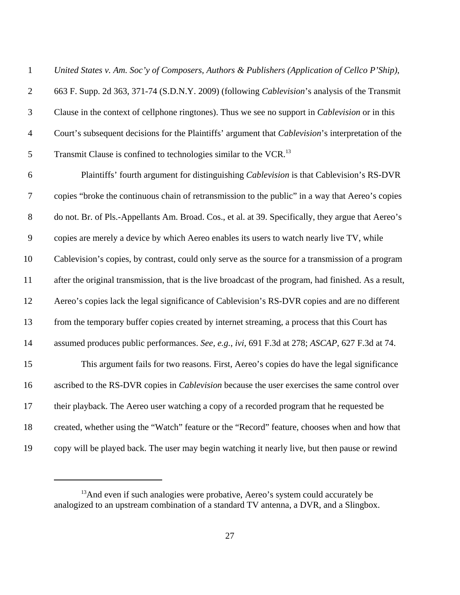*United States v. Am. Soc'y of Composers, Authors & Publishers (Application of Cellco P'Ship)*, 663 F. Supp. 2d 363, 371-74 (S.D.N.Y. 2009) (following *Cablevision*'s analysis of the Transmit Clause in the context of cellphone ringtones). Thus we see no support in *Cablevision* or in this Court's subsequent decisions for the Plaintiffs' argument that *Cablevision*'s interpretation of the Transmit Clause is confined to technologies similar to the VCR.<sup>13</sup>

 Plaintiffs' fourth argument for distinguishing *Cablevision* is that Cablevision's RS-DVR copies "broke the continuous chain of retransmission to the public" in a way that Aereo's copies 8 do not. Br. of Pls.-Appellants Am. Broad. Cos., et al. at 39. Specifically, they argue that Aereo's copies are merely a device by which Aereo enables its users to watch nearly live TV, while Cablevision's copies, by contrast, could only serve as the source for a transmission of a program after the original transmission, that is the live broadcast of the program, had finished. As a result, Aereo's copies lack the legal significance of Cablevision's RS-DVR copies and are no different from the temporary buffer copies created by internet streaming, a process that this Court has assumed produces public performances. *See, e.g.*, *ivi*, 691 F.3d at 278; *ASCAP*, 627 F.3d at 74. This argument fails for two reasons. First, Aereo's copies do have the legal significance ascribed to the RS-DVR copies in *Cablevision* because the user exercises the same control over their playback. The Aereo user watching a copy of a recorded program that he requested be created, whether using the "Watch" feature or the "Record" feature, chooses when and how that copy will be played back. The user may begin watching it nearly live, but then pause or rewind

And even if such analogies were probative, Aereo's system could accurately be analogized to an upstream combination of a standard TV antenna, a DVR, and a Slingbox.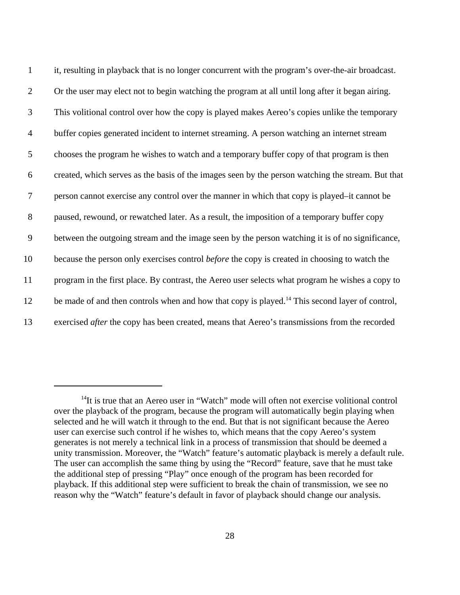| $\mathbf{1}$   | it, resulting in playback that is no longer concurrent with the program's over-the-air broadcast.          |
|----------------|------------------------------------------------------------------------------------------------------------|
| 2              | Or the user may elect not to begin watching the program at all until long after it began airing.           |
| 3              | This volitional control over how the copy is played makes Aereo's copies unlike the temporary              |
| $\overline{4}$ | buffer copies generated incident to internet streaming. A person watching an internet stream               |
| 5              | chooses the program he wishes to watch and a temporary buffer copy of that program is then                 |
| 6              | created, which serves as the basis of the images seen by the person watching the stream. But that          |
| $\tau$         | person cannot exercise any control over the manner in which that copy is played-it cannot be               |
| 8              | paused, rewound, or rewatched later. As a result, the imposition of a temporary buffer copy                |
| 9              | between the outgoing stream and the image seen by the person watching it is of no significance,            |
| 10             | because the person only exercises control <i>before</i> the copy is created in choosing to watch the       |
| 11             | program in the first place. By contrast, the Aereo user selects what program he wishes a copy to           |
| 12             | be made of and then controls when and how that copy is played. <sup>14</sup> This second layer of control, |
| 13             | exercised <i>after</i> the copy has been created, means that Aereo's transmissions from the recorded       |

<sup>&</sup>lt;sup>14</sup>It is true that an Aereo user in "Watch" mode will often not exercise volitional control over the playback of the program, because the program will automatically begin playing when selected and he will watch it through to the end. But that is not significant because the Aereo user can exercise such control if he wishes to, which means that the copy Aereo's system generates is not merely a technical link in a process of transmission that should be deemed a unity transmission. Moreover, the "Watch" feature's automatic playback is merely a default rule. The user can accomplish the same thing by using the "Record" feature, save that he must take the additional step of pressing "Play" once enough of the program has been recorded for playback. If this additional step were sufficient to break the chain of transmission, we see no reason why the "Watch" feature's default in favor of playback should change our analysis.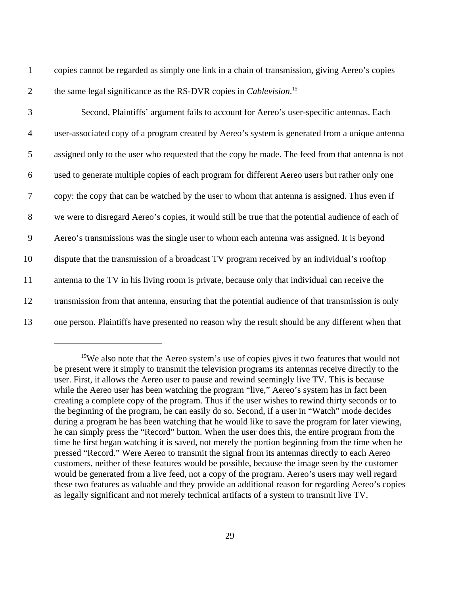| $\mathbf{1}$   | copies cannot be regarded as simply one link in a chain of transmission, giving Aereo's copies     |
|----------------|----------------------------------------------------------------------------------------------------|
| $\overline{2}$ | the same legal significance as the RS-DVR copies in Cablevision. <sup>15</sup>                     |
| 3              | Second, Plaintiffs' argument fails to account for Aereo's user-specific antennas. Each             |
| $\overline{4}$ | user-associated copy of a program created by Aereo's system is generated from a unique antenna     |
| 5              | assigned only to the user who requested that the copy be made. The feed from that antenna is not   |
| 6              | used to generate multiple copies of each program for different Aereo users but rather only one     |
| $\overline{7}$ | copy: the copy that can be watched by the user to whom that antenna is assigned. Thus even if      |
| $8\,$          | we were to disregard Aereo's copies, it would still be true that the potential audience of each of |
| 9              | Aereo's transmissions was the single user to whom each antenna was assigned. It is beyond          |
| 10             | dispute that the transmission of a broadcast TV program received by an individual's rooftop        |
| 11             | antenna to the TV in his living room is private, because only that individual can receive the      |
| 12             | transmission from that antenna, ensuring that the potential audience of that transmission is only  |
| 13             | one person. Plaintiffs have presented no reason why the result should be any different when that   |

<sup>&</sup>lt;sup>15</sup>We also note that the Aereo system's use of copies gives it two features that would not be present were it simply to transmit the television programs its antennas receive directly to the user. First, it allows the Aereo user to pause and rewind seemingly live TV. This is because while the Aereo user has been watching the program "live," Aereo's system has in fact been creating a complete copy of the program. Thus if the user wishes to rewind thirty seconds or to the beginning of the program, he can easily do so. Second, if a user in "Watch" mode decides during a program he has been watching that he would like to save the program for later viewing, he can simply press the "Record" button. When the user does this, the entire program from the time he first began watching it is saved, not merely the portion beginning from the time when he pressed "Record." Were Aereo to transmit the signal from its antennas directly to each Aereo customers, neither of these features would be possible, because the image seen by the customer would be generated from a live feed, not a copy of the program. Aereo's users may well regard these two features as valuable and they provide an additional reason for regarding Aereo's copies as legally significant and not merely technical artifacts of a system to transmit live TV.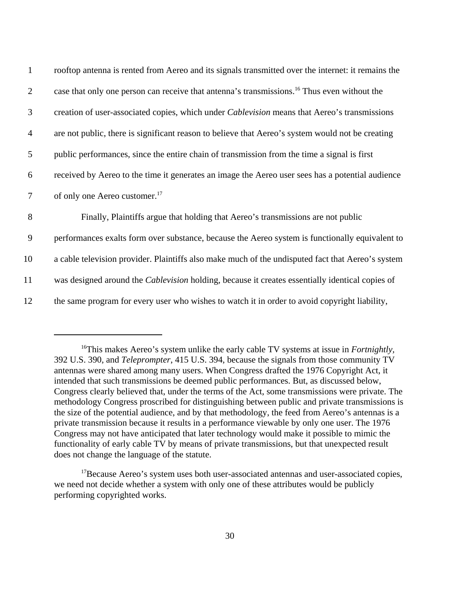| $\mathbf{1}$   | rooftop antenna is rented from Aereo and its signals transmitted over the internet: it remains the      |
|----------------|---------------------------------------------------------------------------------------------------------|
| 2              | case that only one person can receive that antenna's transmissions. <sup>16</sup> Thus even without the |
| 3              | creation of user-associated copies, which under <i>Cablevision</i> means that Aereo's transmissions     |
| $\overline{4}$ | are not public, there is significant reason to believe that Aereo's system would not be creating        |
| 5              | public performances, since the entire chain of transmission from the time a signal is first             |
| 6              | received by Aereo to the time it generates an image the Aereo user sees has a potential audience        |
| $\tau$         | of only one Aereo customer. <sup>17</sup>                                                               |
| 8              | Finally, Plaintiffs argue that holding that Aereo's transmissions are not public                        |
| 9              | performances exalts form over substance, because the Aereo system is functionally equivalent to         |
| 10             | a cable television provider. Plaintiffs also make much of the undisputed fact that Aereo's system       |
| 11             | was designed around the Cablevision holding, because it creates essentially identical copies of         |
| 12             | the same program for every user who wishes to watch it in order to avoid copyright liability,           |

<sup>&</sup>lt;sup>16</sup>This makes Aereo's system unlike the early cable TV systems at issue in *Fortnightly*, 392 U.S. 390, and *Teleprompter*, 415 U.S. 394, because the signals from those community TV antennas were shared among many users. When Congress drafted the 1976 Copyright Act, it intended that such transmissions be deemed public performances. But, as discussed below, Congress clearly believed that, under the terms of the Act, some transmissions were private. The methodology Congress proscribed for distinguishing between public and private transmissions is the size of the potential audience, and by that methodology, the feed from Aereo's antennas is a private transmission because it results in a performance viewable by only one user. The 1976 Congress may not have anticipated that later technology would make it possible to mimic the functionality of early cable TV by means of private transmissions, but that unexpected result does not change the language of the statute.

<sup>&</sup>lt;sup>17</sup>Because Aereo's system uses both user-associated antennas and user-associated copies, we need not decide whether a system with only one of these attributes would be publicly performing copyrighted works.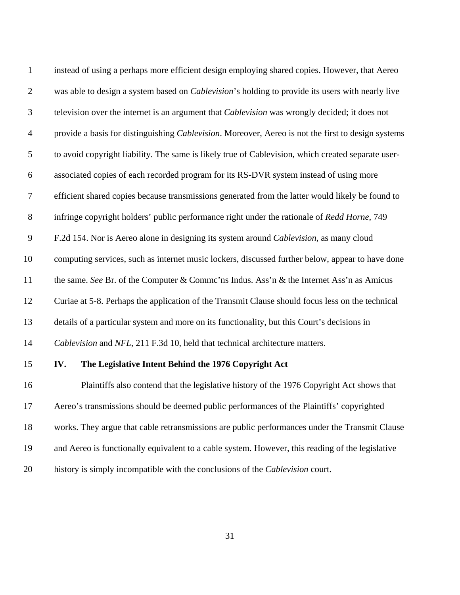| $\mathbf{1}$   | instead of using a perhaps more efficient design employing shared copies. However, that Aereo              |
|----------------|------------------------------------------------------------------------------------------------------------|
| $\overline{2}$ | was able to design a system based on <i>Cablevision</i> 's holding to provide its users with nearly live   |
| 3              | television over the internet is an argument that Cablevision was wrongly decided; it does not              |
| $\overline{4}$ | provide a basis for distinguishing <i>Cablevision</i> . Moreover, Aereo is not the first to design systems |
| 5              | to avoid copyright liability. The same is likely true of Cablevision, which created separate user-         |
| 6              | associated copies of each recorded program for its RS-DVR system instead of using more                     |
| $\tau$         | efficient shared copies because transmissions generated from the latter would likely be found to           |
| $8\,$          | infringe copyright holders' public performance right under the rationale of Redd Horne, 749                |
| 9              | F.2d 154. Nor is Aereo alone in designing its system around Cablevision, as many cloud                     |
| 10             | computing services, such as internet music lockers, discussed further below, appear to have done           |
| 11             | the same. See Br. of the Computer & Commc'ns Indus. Ass'n & the Internet Ass'n as Amicus                   |
| 12             | Curiae at 5-8. Perhaps the application of the Transmit Clause should focus less on the technical           |
| 13             | details of a particular system and more on its functionality, but this Court's decisions in                |
| 14             | Cablevision and NFL, 211 F.3d 10, held that technical architecture matters.                                |
| 15             | The Legislative Intent Behind the 1976 Copyright Act<br>IV.                                                |
| 16             | Plaintiffs also contend that the legislative history of the 1976 Copyright Act shows that                  |
| 17             | Aereo's transmissions should be deemed public performances of the Plaintiffs' copyrighted                  |
| 18             | works. They argue that cable retransmissions are public performances under the Transmit Clause             |
| 19             | and Aereo is functionally equivalent to a cable system. However, this reading of the legislative           |
| 20             | history is simply incompatible with the conclusions of the Cablevision court.                              |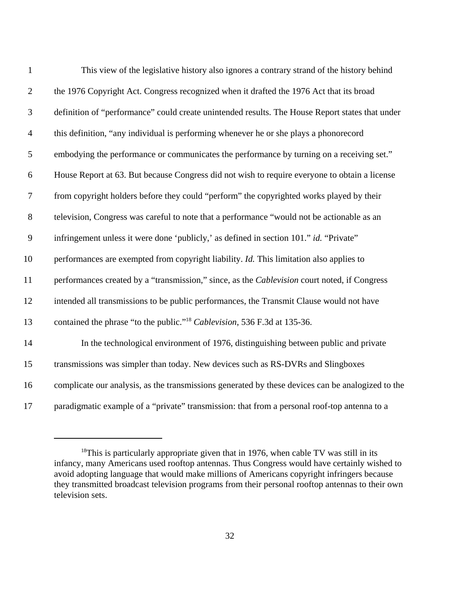| $\mathbf{1}$     | This view of the legislative history also ignores a contrary strand of the history behind         |
|------------------|---------------------------------------------------------------------------------------------------|
| $\mathfrak{2}$   | the 1976 Copyright Act. Congress recognized when it drafted the 1976 Act that its broad           |
| 3                | definition of "performance" could create unintended results. The House Report states that under   |
| $\overline{4}$   | this definition, "any individual is performing whenever he or she plays a phonorecord             |
| 5                | embodying the performance or communicates the performance by turning on a receiving set."         |
| $\boldsymbol{6}$ | House Report at 63. But because Congress did not wish to require everyone to obtain a license     |
| $\boldsymbol{7}$ | from copyright holders before they could "perform" the copyrighted works played by their          |
| $8\,$            | television, Congress was careful to note that a performance "would not be actionable as an        |
| 9                | infringement unless it were done 'publicly,' as defined in section 101." id. "Private"            |
| 10               | performances are exempted from copyright liability. Id. This limitation also applies to           |
| 11               | performances created by a "transmission," since, as the Cablevision court noted, if Congress      |
| 12               | intended all transmissions to be public performances, the Transmit Clause would not have          |
| 13               | contained the phrase "to the public." <sup>18</sup> Cablevision, 536 F.3d at 135-36.              |
| 14               | In the technological environment of 1976, distinguishing between public and private               |
| 15               | transmissions was simpler than today. New devices such as RS-DVRs and Slingboxes                  |
| 16               | complicate our analysis, as the transmissions generated by these devices can be analogized to the |
| 17               | paradigmatic example of a "private" transmission: that from a personal roof-top antenna to a      |

<sup>&</sup>lt;sup>18</sup>This is particularly appropriate given that in 1976, when cable TV was still in its infancy, many Americans used rooftop antennas. Thus Congress would have certainly wished to avoid adopting language that would make millions of Americans copyright infringers because they transmitted broadcast television programs from their personal rooftop antennas to their own television sets.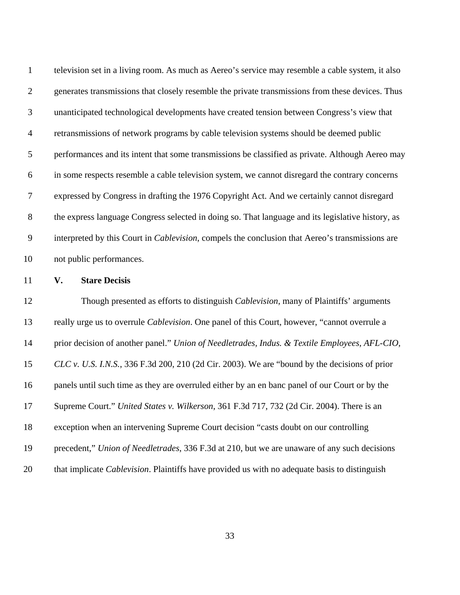television set in a living room. As much as Aereo's service may resemble a cable system, it also generates transmissions that closely resemble the private transmissions from these devices. Thus unanticipated technological developments have created tension between Congress's view that retransmissions of network programs by cable television systems should be deemed public performances and its intent that some transmissions be classified as private. Although Aereo may in some respects resemble a cable television system, we cannot disregard the contrary concerns expressed by Congress in drafting the 1976 Copyright Act. And we certainly cannot disregard the express language Congress selected in doing so. That language and its legislative history, as interpreted by this Court in *Cablevision*, compels the conclusion that Aereo's transmissions are not public performances.

**V. Stare Decisis**

 Though presented as efforts to distinguish *Cablevision*, many of Plaintiffs' arguments really urge us to overrule *Cablevision*. One panel of this Court, however, "cannot overrule a prior decision of another panel." *Union of Needletrades, Indus. & Textile Employees, AFL-CIO, CLC v. U.S. I.N.S.*, 336 F.3d 200, 210 (2d Cir. 2003). We are "bound by the decisions of prior panels until such time as they are overruled either by an en banc panel of our Court or by the Supreme Court." *United States v. Wilkerson*, 361 F.3d 717, 732 (2d Cir. 2004). There is an exception when an intervening Supreme Court decision "casts doubt on our controlling precedent," *Union of Needletrades*, 336 F.3d at 210, but we are unaware of any such decisions that implicate *Cablevision*. Plaintiffs have provided us with no adequate basis to distinguish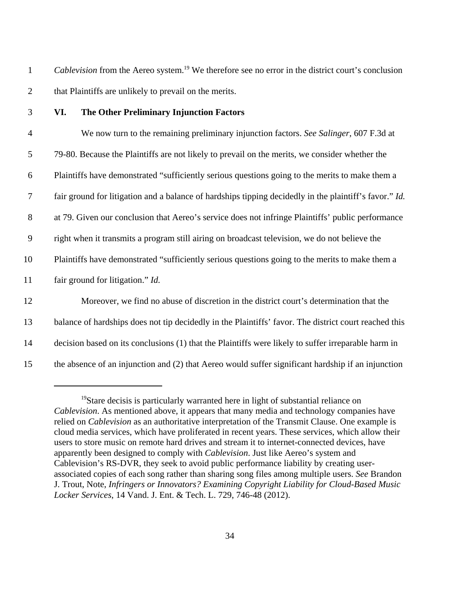*Cablevision* from the Aereo system.<sup>19</sup> We therefore see no error in the district court's conclusion 2 that Plaintiffs are unlikely to prevail on the merits.

# 3 **VI. The Other Preliminary Injunction Factors**

 We now turn to the remaining preliminary injunction factors. *See Salinger*, 607 F.3d at 79-80. Because the Plaintiffs are not likely to prevail on the merits, we consider whether the Plaintiffs have demonstrated "sufficiently serious questions going to the merits to make them a fair ground for litigation and a balance of hardships tipping decidedly in the plaintiff's favor." *Id.* at 79. Given our conclusion that Aereo's service does not infringe Plaintiffs' public performance right when it transmits a program still airing on broadcast television, we do not believe the Plaintiffs have demonstrated "sufficiently serious questions going to the merits to make them a fair ground for litigation." *Id.* Moreover, we find no abuse of discretion in the district court's determination that the balance of hardships does not tip decidedly in the Plaintiffs' favor. The district court reached this decision based on its conclusions (1) that the Plaintiffs were likely to suffer irreparable harm in the absence of an injunction and (2) that Aereo would suffer significant hardship if an injunction

<sup>&</sup>lt;sup>19</sup>Stare decisis is particularly warranted here in light of substantial reliance on *Cablevision*. As mentioned above, it appears that many media and technology companies have relied on *Cablevision* as an authoritative interpretation of the Transmit Clause. One example is cloud media services, which have proliferated in recent years. These services, which allow their users to store music on remote hard drives and stream it to internet-connected devices, have apparently been designed to comply with *Cablevision*. Just like Aereo's system and Cablevision's RS-DVR, they seek to avoid public performance liability by creating userassociated copies of each song rather than sharing song files among multiple users. *See* Brandon J. Trout, Note, *Infringers or Innovators? Examining Copyright Liability for Cloud-Based Music Locker Services*, 14 Vand. J. Ent. & Tech. L. 729, 746-48 (2012).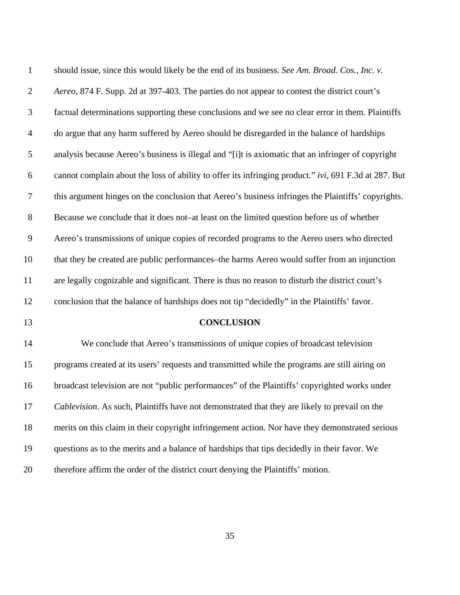| $\mathbf{1}$   | should issue, since this would likely be the end of its business. See Am. Broad. Cos., Inc. v.        |
|----------------|-------------------------------------------------------------------------------------------------------|
| $\overline{2}$ | Aereo, 874 F. Supp. 2d at 397-403. The parties do not appear to contest the district court's          |
| 3              | factual determinations supporting these conclusions and we see no clear error in them. Plaintiffs     |
| $\overline{4}$ | do argue that any harm suffered by Aereo should be disregarded in the balance of hardships            |
| 5              | analysis because Aereo's business is illegal and "[i]t is axiomatic that an infringer of copyright    |
| 6              | cannot complain about the loss of ability to offer its infringing product." ivi, 691 F.3d at 287. But |
| $\tau$         | this argument hinges on the conclusion that Aereo's business infringes the Plaintiffs' copyrights.    |
| $8\,$          | Because we conclude that it does not-at least on the limited question before us of whether            |
| 9              | Aereo's transmissions of unique copies of recorded programs to the Aereo users who directed           |
| 10             | that they be created are public performances-the harms Aereo would suffer from an injunction          |
| 11             | are legally cognizable and significant. There is thus no reason to disturb the district court's       |
| 12             | conclusion that the balance of hardships does not tip "decidedly" in the Plaintiffs' favor.           |
| 13             | <b>CONCLUSION</b>                                                                                     |
| 14             | We conclude that Aereo's transmissions of unique copies of broadcast television                       |
| 15             | programs created at its users' requests and transmitted while the programs are still airing on        |
| 16             | broadcast television are not "public performances" of the Plaintiffs' copyrighted works under         |
| 17             | Cablevision. As such, Plaintiffs have not demonstrated that they are likely to prevail on the         |
| 18             | merits on this claim in their copyright infringement action. Nor have they demonstrated serious       |
| 19             | questions as to the merits and a balance of hardships that tips decidedly in their favor. We          |
| 20             | therefore affirm the order of the district court denying the Plaintiffs' motion.                      |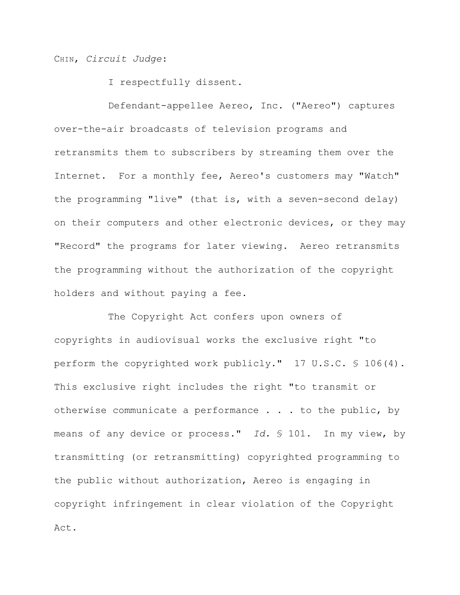CHIN, *Circuit Judge*:

I respectfully dissent.

Defendant-appellee Aereo, Inc. ("Aereo") captures over-the-air broadcasts of television programs and retransmits them to subscribers by streaming them over the Internet. For a monthly fee, Aereo's customers may "Watch" the programming "live" (that is, with a seven-second delay) on their computers and other electronic devices, or they may "Record" the programs for later viewing. Aereo retransmits the programming without the authorization of the copyright holders and without paying a fee.

The Copyright Act confers upon owners of copyrights in audiovisual works the exclusive right "to perform the copyrighted work publicly." 17 U.S.C. § 106(4). This exclusive right includes the right "to transmit or otherwise communicate a performance . . . to the public, by means of any device or process." *Id.* § 101. In my view, by transmitting (or retransmitting) copyrighted programming to the public without authorization, Aereo is engaging in copyright infringement in clear violation of the Copyright Act.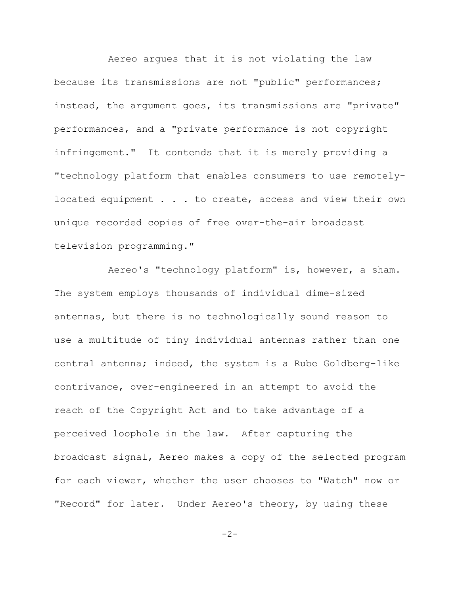Aereo argues that it is not violating the law because its transmissions are not "public" performances; instead, the argument goes, its transmissions are "private" performances, and a "private performance is not copyright infringement." It contends that it is merely providing a "technology platform that enables consumers to use remotelylocated equipment . . . to create, access and view their own unique recorded copies of free over-the-air broadcast television programming."

Aereo's "technology platform" is, however, a sham. The system employs thousands of individual dime-sized antennas, but there is no technologically sound reason to use a multitude of tiny individual antennas rather than one central antenna; indeed, the system is a Rube Goldberg-like contrivance, over-engineered in an attempt to avoid the reach of the Copyright Act and to take advantage of a perceived loophole in the law. After capturing the broadcast signal, Aereo makes a copy of the selected program for each viewer, whether the user chooses to "Watch" now or "Record" for later. Under Aereo's theory, by using these

 $-2-$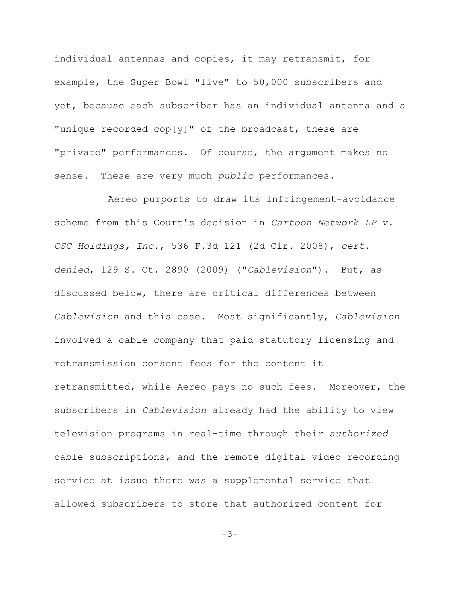individual antennas and copies, it may retransmit, for example, the Super Bowl "live" to 50,000 subscribers and yet, because each subscriber has an individual antenna and a "unique recorded cop[y]" of the broadcast, these are "private" performances. Of course, the argument makes no sense. These are very much *public* performances.

Aereo purports to draw its infringement-avoidance scheme from this Court's decision in *Cartoon Network LP v. CSC Holdings, Inc.*, 536 F.3d 121 (2d Cir. 2008), *cert. denied*, 129 S. Ct. 2890 (2009) ("*Cablevision*"). But, as discussed below, there are critical differences between *Cablevision* and this case. Most significantly, *Cablevision* involved a cable company that paid statutory licensing and retransmission consent fees for the content it retransmitted, while Aereo pays no such fees. Moreover, the subscribers in *Cablevision* already had the ability to view television programs in real-time through their *authorized* cable subscriptions, and the remote digital video recording service at issue there was a supplemental service that allowed subscribers to store that authorized content for

 $-3-$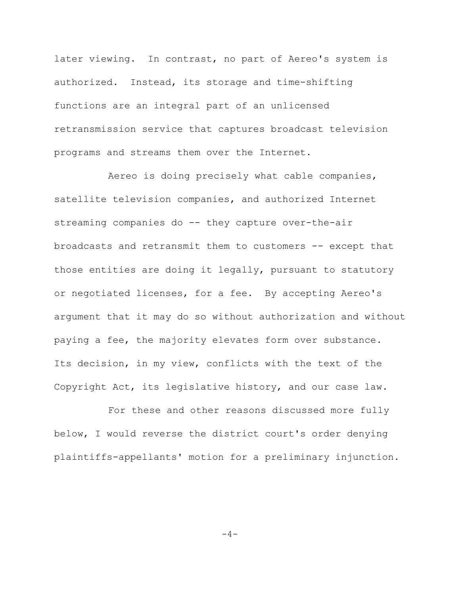later viewing. In contrast, no part of Aereo's system is authorized. Instead, its storage and time-shifting functions are an integral part of an unlicensed retransmission service that captures broadcast television programs and streams them over the Internet.

Aereo is doing precisely what cable companies, satellite television companies, and authorized Internet streaming companies do -- they capture over-the-air broadcasts and retransmit them to customers -- except that those entities are doing it legally, pursuant to statutory or negotiated licenses, for a fee. By accepting Aereo's argument that it may do so without authorization and without paying a fee, the majority elevates form over substance. Its decision, in my view, conflicts with the text of the Copyright Act, its legislative history, and our case law.

For these and other reasons discussed more fully below, I would reverse the district court's order denying plaintiffs-appellants' motion for a preliminary injunction.

 $-4-$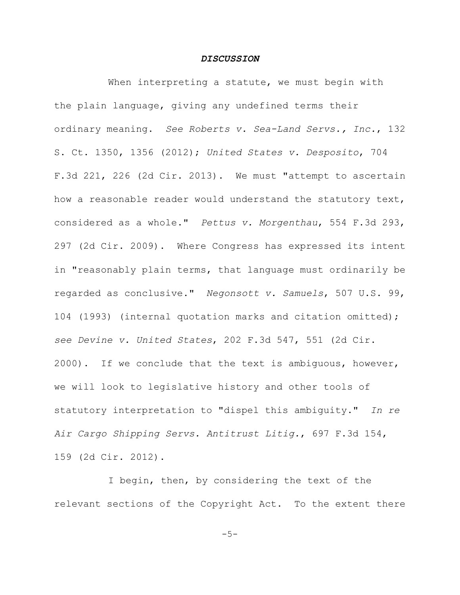#### *DISCUSSION*

When interpreting a statute, we must begin with the plain language, giving any undefined terms their ordinary meaning. *See Roberts v. Sea-Land Servs., Inc.*, 132 S. Ct. 1350, 1356 (2012); *United States v. Desposito*, 704 F.3d 221, 226 (2d Cir. 2013). We must "attempt to ascertain how a reasonable reader would understand the statutory text, considered as a whole." *Pettus v. Morgenthau*, 554 F.3d 293, 297 (2d Cir. 2009). Where Congress has expressed its intent in "reasonably plain terms, that language must ordinarily be regarded as conclusive." *Negonsott v. Samuels*, 507 U.S. 99, 104 (1993) (internal quotation marks and citation omitted); *see Devine v. United States*, 202 F.3d 547, 551 (2d Cir. 2000). If we conclude that the text is ambiguous, however, we will look to legislative history and other tools of statutory interpretation to "dispel this ambiguity." *In re Air Cargo Shipping Servs. Antitrust Litig.*, 697 F.3d 154, 159 (2d Cir. 2012).

I begin, then, by considering the text of the relevant sections of the Copyright Act. To the extent there

 $-5-$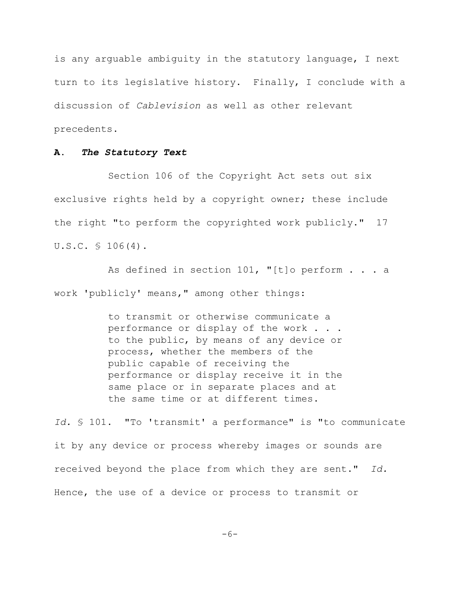is any arguable ambiguity in the statutory language, I next turn to its legislative history. Finally, I conclude with a discussion of *Cablevision* as well as other relevant precedents.

## **A.** *The Statutory Text*

Section 106 of the Copyright Act sets out six exclusive rights held by a copyright owner; these include the right "to perform the copyrighted work publicly." 17 U.S.C. § 106(4).

As defined in section 101, "[t]o perform . . . a work 'publicly' means," among other things:

> to transmit or otherwise communicate a performance or display of the work . . . to the public, by means of any device or process, whether the members of the public capable of receiving the performance or display receive it in the same place or in separate places and at the same time or at different times.

*Id.* § 101. "To 'transmit' a performance" is "to communicate it by any device or process whereby images or sounds are received beyond the place from which they are sent." *Id.*  Hence, the use of a device or process to transmit or

$$
-6-
$$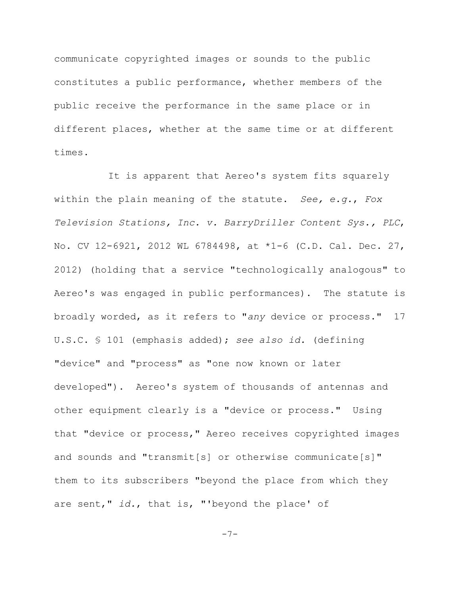communicate copyrighted images or sounds to the public constitutes a public performance, whether members of the public receive the performance in the same place or in different places, whether at the same time or at different times.

It is apparent that Aereo's system fits squarely within the plain meaning of the statute. *See, e.g.*, *Fox Television Stations, Inc. v. BarryDriller Content Sys., PLC*, No. CV 12-6921, 2012 WL 6784498, at \*1-6 (C.D. Cal. Dec. 27, 2012) (holding that a service "technologically analogous" to Aereo's was engaged in public performances). The statute is broadly worded, as it refers to "*any* device or process." 17 U.S.C. § 101 (emphasis added); *see also id.* (defining "device" and "process" as "one now known or later developed"). Aereo's system of thousands of antennas and other equipment clearly is a "device or process." Using that "device or process," Aereo receives copyrighted images and sounds and "transmit[s] or otherwise communicate[s]" them to its subscribers "beyond the place from which they are sent," *id.*, that is, "'beyond the place' of

-7-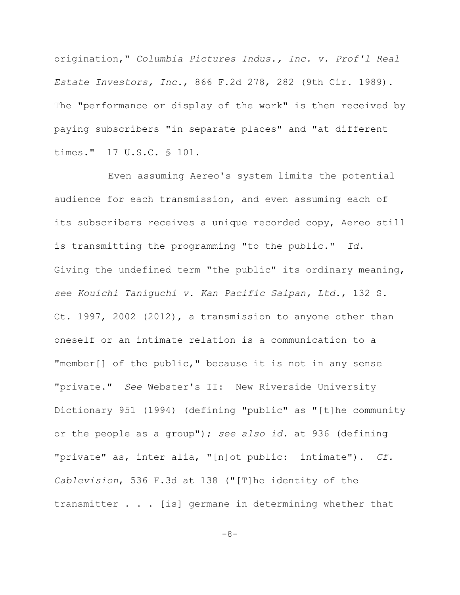origination," *Columbia Pictures Indus., Inc. v. Prof'l Real Estate Investors, Inc.*, 866 F.2d 278, 282 (9th Cir. 1989). The "performance or display of the work" is then received by paying subscribers "in separate places" and "at different times." 17 U.S.C. § 101.

Even assuming Aereo's system limits the potential audience for each transmission, and even assuming each of its subscribers receives a unique recorded copy, Aereo still is transmitting the programming "to the public." *Id.* Giving the undefined term "the public" its ordinary meaning, *see Kouichi Taniguchi v. Kan Pacific Saipan, Ltd.*, 132 S. Ct. 1997, 2002 (2012), a transmission to anyone other than oneself or an intimate relation is a communication to a "member[] of the public," because it is not in any sense "private." *See* Webster's II: New Riverside University Dictionary 951 (1994) (defining "public" as "[t]he community or the people as a group"); *see also id.* at 936 (defining "private" as, inter alia, "[n]ot public: intimate"). *Cf. Cablevision*, 536 F.3d at 138 ("[T]he identity of the transmitter . . . [is] germane in determining whether that

 $-8-$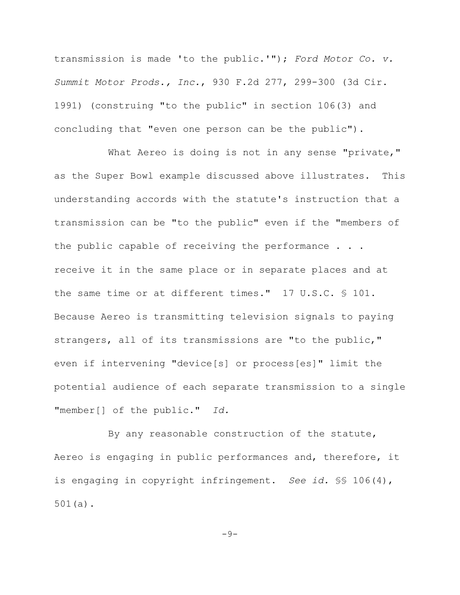transmission is made 'to the public.'"); *Ford Motor Co. v. Summit Motor Prods., Inc.*, 930 F.2d 277, 299-300 (3d Cir. 1991) (construing "to the public" in section 106(3) and concluding that "even one person can be the public").

What Aereo is doing is not in any sense "private," as the Super Bowl example discussed above illustrates. This understanding accords with the statute's instruction that a transmission can be "to the public" even if the "members of the public capable of receiving the performance . . . receive it in the same place or in separate places and at the same time or at different times." 17 U.S.C. § 101. Because Aereo is transmitting television signals to paying strangers, all of its transmissions are "to the public," even if intervening "device[s] or process[es]" limit the potential audience of each separate transmission to a single "member[] of the public." *Id.*

By any reasonable construction of the statute, Aereo is engaging in public performances and, therefore, it is engaging in copyright infringement. *See id.* §§ 106(4), 501(a).

 $-9-$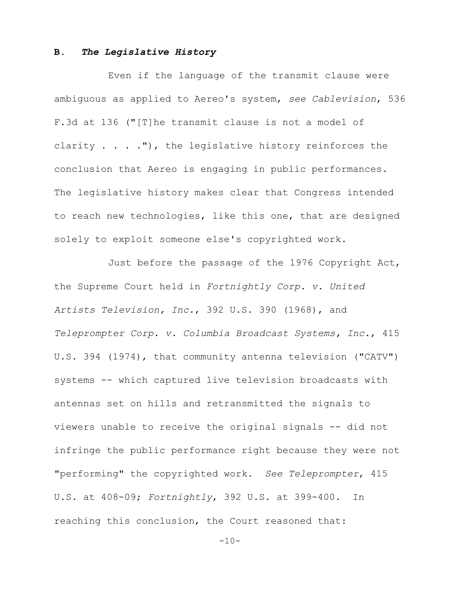## **B.** *The Legislative History*

Even if the language of the transmit clause were ambiguous as applied to Aereo's system, *see Cablevision*, 536 F.3d at 136 ("[T]he transmit clause is not a model of clarity  $\ldots$  ..."), the legislative history reinforces the conclusion that Aereo is engaging in public performances. The legislative history makes clear that Congress intended to reach new technologies, like this one, that are designed solely to exploit someone else's copyrighted work.

Just before the passage of the 1976 Copyright Act, the Supreme Court held in *Fortnightly Corp. v. United Artists Television, Inc.*, 392 U.S. 390 (1968), and *Teleprompter Corp. v. Columbia Broadcast Systems, Inc.*, 415 U.S. 394 (1974), that community antenna television ("CATV") systems -- which captured live television broadcasts with antennas set on hills and retransmitted the signals to viewers unable to receive the original signals -- did not infringe the public performance right because they were not "performing" the copyrighted work. *See Teleprompter*, 415 U.S. at 408-09; *Fortnightly*, 392 U.S. at 399-400. In reaching this conclusion, the Court reasoned that:

 $-10-$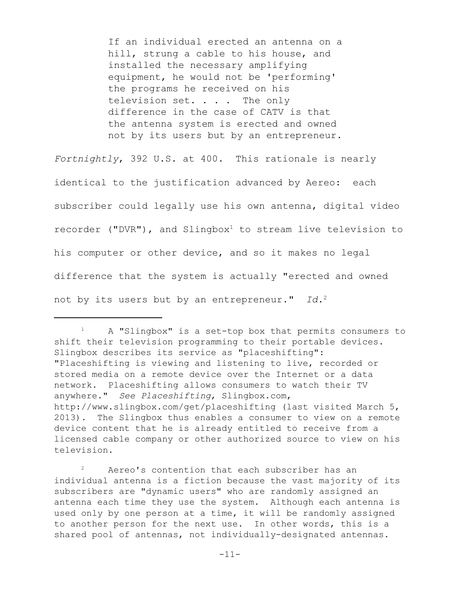If an individual erected an antenna on a hill, strung a cable to his house, and installed the necessary amplifying equipment, he would not be 'performing' the programs he received on his television set. . . . The only difference in the case of CATV is that the antenna system is erected and owned not by its users but by an entrepreneur.

*Fortnightly*, 392 U.S. at 400. This rationale is nearly identical to the justification advanced by Aereo: each subscriber could legally use his own antenna, digital video recorder ("DVR"), and Slingbox<sup>1</sup> to stream live television to his computer or other device, and so it makes no legal difference that the system is actually "erected and owned not by its users but by an entrepreneur." *Id.*<sup>2</sup>

A "Slingbox" is a set-top box that permits consumers to <sup>1</sup> shift their television programming to their portable devices. Slingbox describes its service as "placeshifting": "Placeshifting is viewing and listening to live, recorded or stored media on a remote device over the Internet or a data network. Placeshifting allows consumers to watch their TV anywhere." *See Placeshifting*, Slingbox.com, http://www.slingbox.com/get/placeshifting (last visited March 5, 2013). The Slingbox thus enables a consumer to view on a remote device content that he is already entitled to receive from a licensed cable company or other authorized source to view on his television.

Aereo's contention that each subscriber has an individual antenna is a fiction because the vast majority of its subscribers are "dynamic users" who are randomly assigned an antenna each time they use the system. Although each antenna is used only by one person at a time, it will be randomly assigned to another person for the next use. In other words, this is a shared pool of antennas, not individually-designated antennas.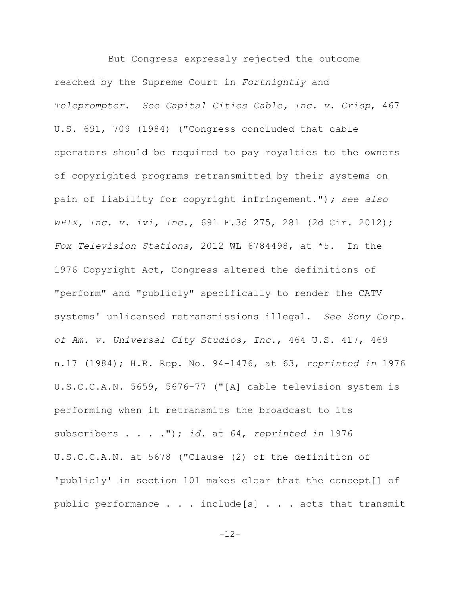But Congress expressly rejected the outcome reached by the Supreme Court in *Fortnightly* and *Teleprompter*. *See Capital Cities Cable, Inc. v. Crisp*, 467 U.S. 691, 709 (1984) ("Congress concluded that cable operators should be required to pay royalties to the owners of copyrighted programs retransmitted by their systems on pain of liability for copyright infringement.")*; see also WPIX, Inc. v. ivi, Inc.*, 691 F.3d 275, 281 (2d Cir. 2012); *Fox Television Stations*, 2012 WL 6784498, at \*5. In the 1976 Copyright Act, Congress altered the definitions of "perform" and "publicly" specifically to render the CATV systems' unlicensed retransmissions illegal. *See Sony Corp. of Am. v. Universal City Studios, Inc.*, 464 U.S. 417, 469 n.17 (1984); H.R. Rep. No. 94-1476, at 63, *reprinted in* 1976 U.S.C.C.A.N. 5659, 5676-77 ("[A] cable television system is performing when it retransmits the broadcast to its subscribers . . . ."); *id.* at 64, *reprinted in* 1976 U.S.C.C.A.N. at 5678 ("Clause (2) of the definition of 'publicly' in section 101 makes clear that the concept[] of public performance . . . include[s] . . . acts that transmit

-12-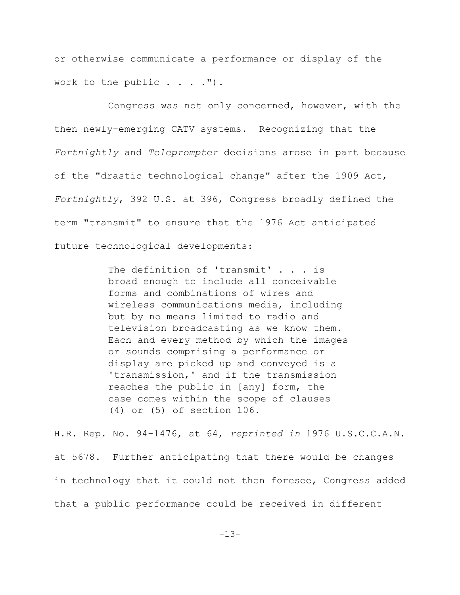or otherwise communicate a performance or display of the work to the public . . . . ").

Congress was not only concerned, however, with the then newly-emerging CATV systems. Recognizing that the *Fortnightly* and *Teleprompter* decisions arose in part because of the "drastic technological change" after the 1909 Act, *Fortnightly*, 392 U.S. at 396, Congress broadly defined the term "transmit" to ensure that the 1976 Act anticipated future technological developments:

> The definition of 'transmit' . . . is broad enough to include all conceivable forms and combinations of wires and wireless communications media, including but by no means limited to radio and television broadcasting as we know them. Each and every method by which the images or sounds comprising a performance or display are picked up and conveyed is a 'transmission,' and if the transmission reaches the public in [any] form, the case comes within the scope of clauses (4) or (5) of section 106.

H.R. Rep. No. 94-1476, at 64, *reprinted in* 1976 U.S.C.C.A.N. at 5678. Further anticipating that there would be changes in technology that it could not then foresee, Congress added that a public performance could be received in different

-13-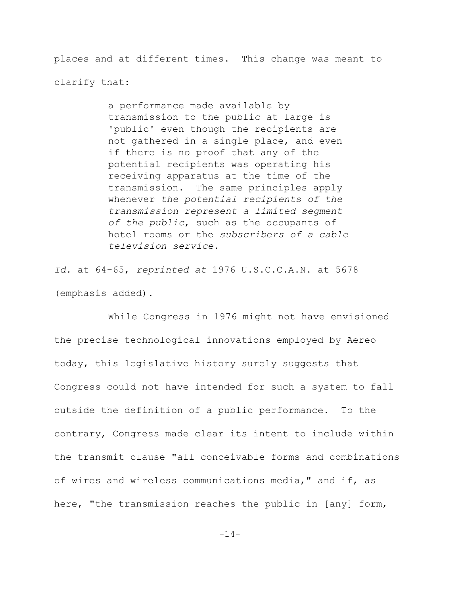places and at different times. This change was meant to clarify that:

> a performance made available by transmission to the public at large is 'public' even though the recipients are not gathered in a single place, and even if there is no proof that any of the potential recipients was operating his receiving apparatus at the time of the transmission. The same principles apply whenever *the potential recipients of the transmission represent a limited segment of the public*, such as the occupants of hotel rooms or the *subscribers of a cable television service*.

*Id.* at 64-65, *reprinted at* 1976 U.S.C.C.A.N. at 5678 (emphasis added).

While Congress in 1976 might not have envisioned the precise technological innovations employed by Aereo today, this legislative history surely suggests that Congress could not have intended for such a system to fall outside the definition of a public performance. To the contrary, Congress made clear its intent to include within the transmit clause "all conceivable forms and combinations of wires and wireless communications media," and if, as here, "the transmission reaches the public in [any] form,

 $-14-$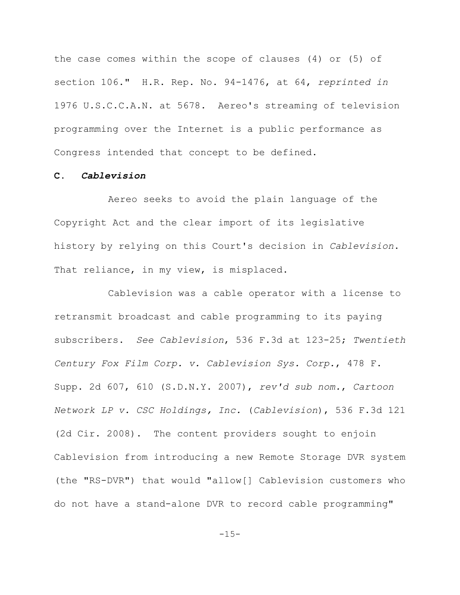the case comes within the scope of clauses (4) or (5) of section 106." H.R. Rep. No. 94-1476, at 64, *reprinted in* 1976 U.S.C.C.A.N. at 5678. Aereo's streaming of television programming over the Internet is a public performance as Congress intended that concept to be defined.

## **C.** *Cablevision*

Aereo seeks to avoid the plain language of the Copyright Act and the clear import of its legislative history by relying on this Court's decision in *Cablevision*. That reliance, in my view, is misplaced.

Cablevision was a cable operator with a license to retransmit broadcast and cable programming to its paying subscribers. *See Cablevision*, 536 F.3d at 123-25; *Twentieth Century Fox Film Corp. v. Cablevision Sys. Corp.*, 478 F. Supp. 2d 607, 610 (S.D.N.Y. 2007), *rev'd sub nom.*, *Cartoon Network LP v. CSC Holdings, Inc.* (*Cablevision*), 536 F.3d 121 (2d Cir. 2008). The content providers sought to enjoin Cablevision from introducing a new Remote Storage DVR system (the "RS-DVR") that would "allow[] Cablevision customers who do not have a stand-alone DVR to record cable programming"

 $-15-$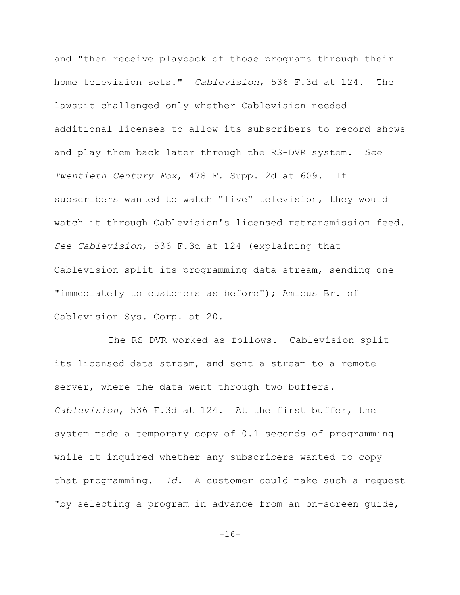and "then receive playback of those programs through their home television sets." *Cablevision*, 536 F.3d at 124. The lawsuit challenged only whether Cablevision needed additional licenses to allow its subscribers to record shows and play them back later through the RS-DVR system. *See Twentieth Century Fox*, 478 F. Supp. 2d at 609. If subscribers wanted to watch "live" television, they would watch it through Cablevision's licensed retransmission feed. *See Cablevision*, 536 F.3d at 124 (explaining that Cablevision split its programming data stream, sending one "immediately to customers as before"); Amicus Br. of Cablevision Sys. Corp. at 20.

The RS-DVR worked as follows. Cablevision split its licensed data stream, and sent a stream to a remote server, where the data went through two buffers. *Cablevision*, 536 F.3d at 124. At the first buffer, the system made a temporary copy of 0.1 seconds of programming while it inquired whether any subscribers wanted to copy that programming. *Id.* A customer could make such a request "by selecting a program in advance from an on-screen guide,

-16-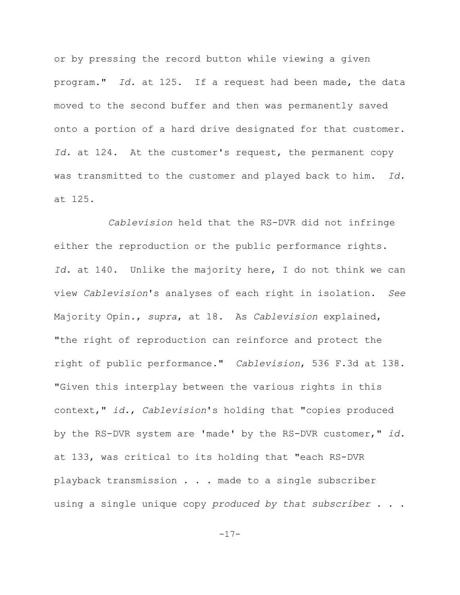or by pressing the record button while viewing a given program." *Id.* at 125. If a request had been made, the data moved to the second buffer and then was permanently saved onto a portion of a hard drive designated for that customer. *Id.* at 124. At the customer's request, the permanent copy was transmitted to the customer and played back to him. *Id.* at 125.

*Cablevision* held that the RS-DVR did not infringe either the reproduction or the public performance rights. *Id.* at 140. Unlike the majority here, I do not think we can view *Cablevision*'s analyses of each right in isolation. *See* Majority Opin., *supra*, at 18**.** As *Cablevision* explained, "the right of reproduction can reinforce and protect the right of public performance." *Cablevision*, 536 F.3d at 138. "Given this interplay between the various rights in this context," *id.*, *Cablevision*'s holding that "copies produced by the RS-DVR system are 'made' by the RS-DVR customer," *id.* at 133, was critical to its holding that "each RS-DVR playback transmission . . . made to a single subscriber using a single unique copy *produced by that subscriber* . . .

-17-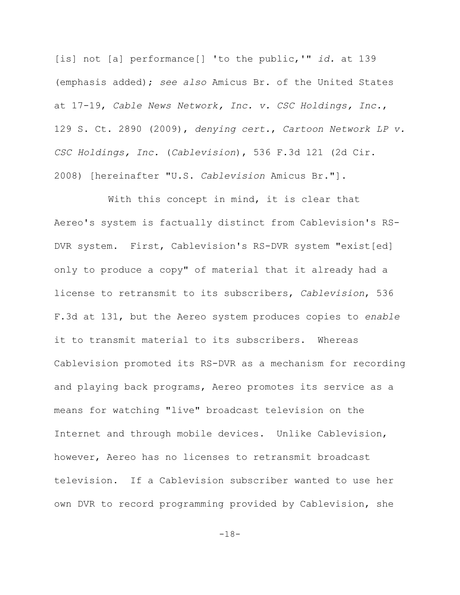[is] not [a] performance<sup>[]</sup> 'to the public,'" *id.* at 139 (emphasis added); *see also* Amicus Br. of the United States at 17-19, *Cable News Network, Inc. v. CSC Holdings, Inc.*, 129 S. Ct. 2890 (2009), *denying cert.*, *Cartoon Network LP v. CSC Holdings, Inc.* (*Cablevision*), 536 F.3d 121 (2d Cir. 2008) [hereinafter "U.S. *Cablevision* Amicus Br."].

With this concept in mind, it is clear that Aereo's system is factually distinct from Cablevision's RS-DVR system. First, Cablevision's RS-DVR system "exist[ed] only to produce a copy" of material that it already had a license to retransmit to its subscribers, *Cablevision*, 536 F.3d at 131, but the Aereo system produces copies to *enable* it to transmit material to its subscribers. Whereas Cablevision promoted its RS-DVR as a mechanism for recording and playing back programs, Aereo promotes its service as a means for watching "live" broadcast television on the Internet and through mobile devices. Unlike Cablevision, however, Aereo has no licenses to retransmit broadcast television. If a Cablevision subscriber wanted to use her own DVR to record programming provided by Cablevision, she

-18-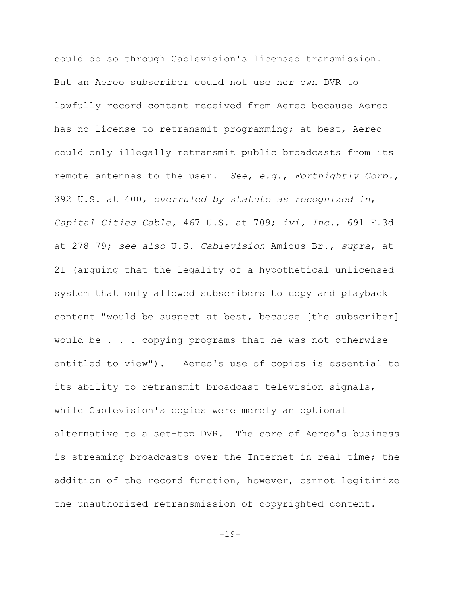could do so through Cablevision's licensed transmission. But an Aereo subscriber could not use her own DVR to lawfully record content received from Aereo because Aereo has no license to retransmit programming; at best, Aereo could only illegally retransmit public broadcasts from its remote antennas to the user. *See, e.g.*, *Fortnightly Corp.*, 392 U.S. at 400, *overruled by statute as recognized in*, *Capital Cities Cable,* 467 U.S. at 709; *ivi, Inc.*, 691 F.3d at 278-79; *see also* U.S. *Cablevision* Amicus Br., *supra*, at 21 (arguing that the legality of a hypothetical unlicensed system that only allowed subscribers to copy and playback content "would be suspect at best, because [the subscriber] would be . . . copying programs that he was not otherwise entitled to view"). Aereo's use of copies is essential to its ability to retransmit broadcast television signals, while Cablevision's copies were merely an optional alternative to a set-top DVR. The core of Aereo's business is streaming broadcasts over the Internet in real-time; the addition of the record function, however, cannot legitimize the unauthorized retransmission of copyrighted content.

-19-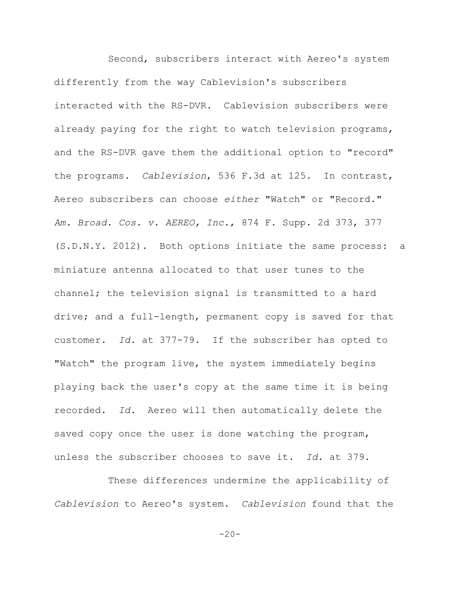Second, subscribers interact with Aereo's system differently from the way Cablevision's subscribers interacted with the RS-DVR. Cablevision subscribers were already paying for the right to watch television programs, and the RS-DVR gave them the additional option to "record" the programs. *Cablevision*, 536 F.3d at 125. In contrast, Aereo subscribers can choose *either* "Watch" or "Record." *Am. Broad. Cos. v. AEREO, Inc.*, 874 F. Supp. 2d 373, 377 (S.D.N.Y. 2012). Both options initiate the same process: a miniature antenna allocated to that user tunes to the channel; the television signal is transmitted to a hard drive; and a full-length, permanent copy is saved for that customer. *Id.* at 377-79. If the subscriber has opted to "Watch" the program live, the system immediately begins playing back the user's copy at the same time it is being recorded. *Id.* Aereo will then automatically delete the saved copy once the user is done watching the program, unless the subscriber chooses to save it. *Id.* at 379.

These differences undermine the applicability of *Cablevision* to Aereo's system. *Cablevision* found that the

 $-20-$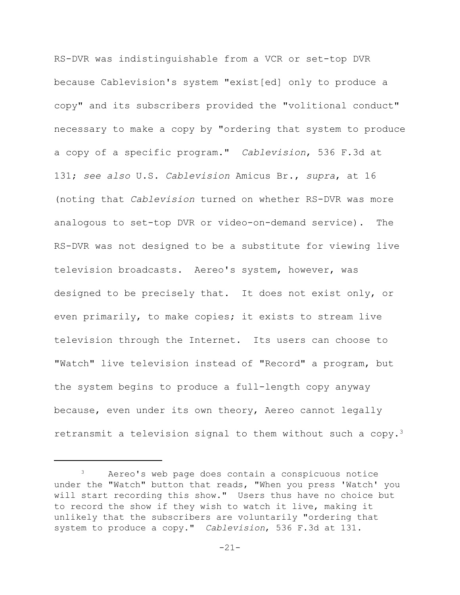RS-DVR was indistinguishable from a VCR or set-top DVR because Cablevision's system "exist[ed] only to produce a copy" and its subscribers provided the "volitional conduct" necessary to make a copy by "ordering that system to produce a copy of a specific program." *Cablevision*, 536 F.3d at 131; *see also* U.S. *Cablevision* Amicus Br., *supra*, at 16 (noting that *Cablevision* turned on whether RS-DVR was more analogous to set-top DVR or video-on-demand service). The RS-DVR was not designed to be a substitute for viewing live television broadcasts. Aereo's system, however, was designed to be precisely that. It does not exist only, or even primarily, to make copies; it exists to stream live television through the Internet. Its users can choose to "Watch" live television instead of "Record" a program, but the system begins to produce a full-length copy anyway because, even under its own theory, Aereo cannot legally retransmit a television signal to them without such a copy.<sup>3</sup>

<sup>&</sup>lt;sup>3</sup> Aereo's web page does contain a conspicuous notice under the "Watch" button that reads, "When you press 'Watch' you will start recording this show." Users thus have no choice but to record the show if they wish to watch it live, making it unlikely that the subscribers are voluntarily "ordering that system to produce a copy." *Cablevision*, 536 F.3d at 131.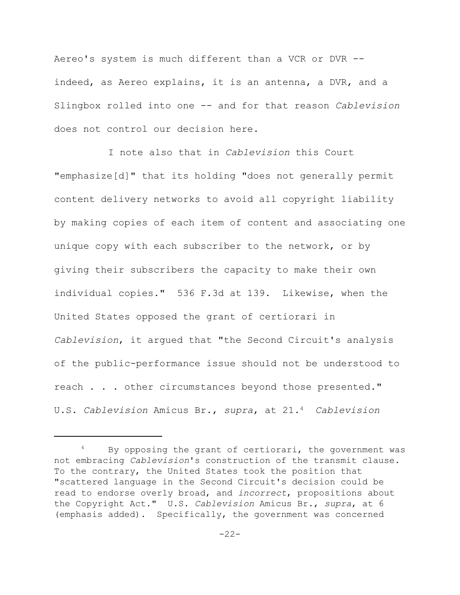Aereo's system is much different than a VCR or DVR - indeed, as Aereo explains, it is an antenna, a DVR, and a Slingbox rolled into one -- and for that reason *Cablevision* does not control our decision here.

I note also that in *Cablevision* this Court "emphasize[d]" that its holding "does not generally permit content delivery networks to avoid all copyright liability by making copies of each item of content and associating one unique copy with each subscriber to the network, or by giving their subscribers the capacity to make their own individual copies." 536 F.3d at 139. Likewise, when the United States opposed the grant of certiorari in *Cablevision*, it argued that "the Second Circuit's analysis of the public-performance issue should not be understood to reach . . . other circumstances beyond those presented." U.S. *Cablevision* Amicus Br., *supra*, at 21. *Cablevision* 4

By opposing the grant of certiorari, the government was not embracing *Cablevision*'s construction of the transmit clause. To the contrary, the United States took the position that "scattered language in the Second Circuit's decision could be read to endorse overly broad, and *incorrect*, propositions about the Copyright Act." U.S. *Cablevision* Amicus Br., *supra*, at 6 (emphasis added). Specifically, the government was concerned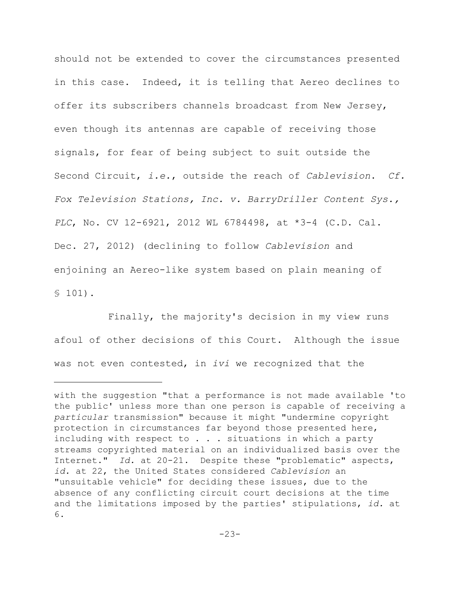should not be extended to cover the circumstances presented in this case. Indeed, it is telling that Aereo declines to offer its subscribers channels broadcast from New Jersey, even though its antennas are capable of receiving those signals, for fear of being subject to suit outside the Second Circuit, *i.e.*, outside the reach of *Cablevision*. *Cf. Fox Television Stations, Inc. v. BarryDriller Content Sys., PLC*, No. CV 12-6921, 2012 WL 6784498, at \*3-4 (C.D. Cal. Dec. 27, 2012) (declining to follow *Cablevision* and enjoining an Aereo-like system based on plain meaning of § 101).

Finally, the majority's decision in my view runs afoul of other decisions of this Court. Although the issue was not even contested, in *ivi* we recognized that the

with the suggestion "that a performance is not made available 'to the public' unless more than one person is capable of receiving a *particular* transmission" because it might "undermine copyright protection in circumstances far beyond those presented here, including with respect to . . . situations in which a party streams copyrighted material on an individualized basis over the Internet." *Id.* at 20-21. Despite these "problematic" aspects, *id.* at 22, the United States considered *Cablevision* an "unsuitable vehicle" for deciding these issues, due to the absence of any conflicting circuit court decisions at the time and the limitations imposed by the parties' stipulations, *id.* at 6.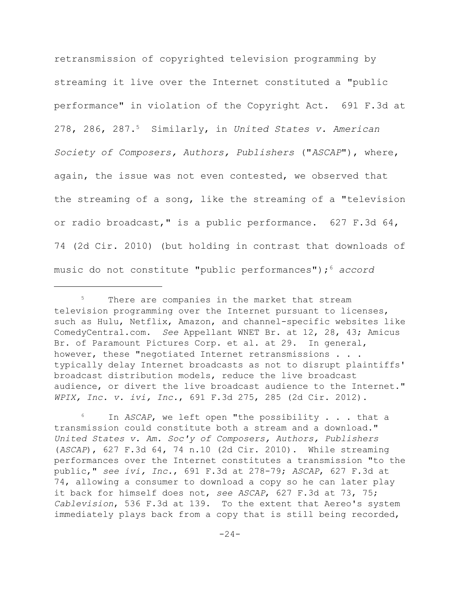retransmission of copyrighted television programming by streaming it live over the Internet constituted a "public performance" in violation of the Copyright Act. 691 F.3d at 278, 286, 287. Similarly, in *United States v. American* <sup>5</sup> *Society of Composers, Authors, Publishers* ("*ASCAP*"), where, again, the issue was not even contested, we observed that the streaming of a song, like the streaming of a "television or radio broadcast," is a public performance. 627 F.3d 64, 74 (2d Cir. 2010) (but holding in contrast that downloads of music do not constitute "public performances"); *accord* 6

In *ASCAP*, we left open "the possibility . . . that a transmission could constitute both a stream and a download." *United States v. Am. Soc'y of Composers, Authors, Publishers* (*ASCAP*), 627 F.3d 64, 74 n.10 (2d Cir. 2010). While streaming performances over the Internet constitutes a transmission "to the public," *see ivi, Inc.*, 691 F.3d at 278-79; *ASCAP*, 627 F.3d at 74, allowing a consumer to download a copy so he can later play it back for himself does not, *see ASCAP*, 627 F.3d at 73, 75; *Cablevision*, 536 F.3d at 139. To the extent that Aereo's system immediately plays back from a copy that is still being recorded,

 $5$  There are companies in the market that stream television programming over the Internet pursuant to licenses, such as Hulu, Netflix, Amazon, and channel-specific websites like ComedyCentral.com. *See* Appellant WNET Br. at 12, 28, 43; Amicus Br. of Paramount Pictures Corp. et al. at 29. In general, however, these "negotiated Internet retransmissions . . . typically delay Internet broadcasts as not to disrupt plaintiffs' broadcast distribution models, reduce the live broadcast audience, or divert the live broadcast audience to the Internet." *WPIX, Inc. v. ivi, Inc.*, 691 F.3d 275, 285 (2d Cir. 2012).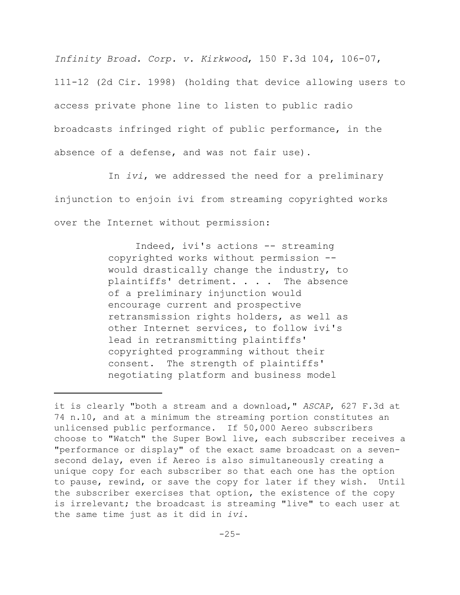*Infinity Broad. Corp. v. Kirkwood*, 150 F.3d 104, 106-07, 111-12 (2d Cir. 1998) (holding that device allowing users to access private phone line to listen to public radio broadcasts infringed right of public performance, in the absence of a defense, and was not fair use).

In *ivi*, we addressed the need for a preliminary injunction to enjoin ivi from streaming copyrighted works over the Internet without permission:

> Indeed, ivi's actions -- streaming copyrighted works without permission - would drastically change the industry, to plaintiffs' detriment. . . . The absence of a preliminary injunction would encourage current and prospective retransmission rights holders, as well as other Internet services, to follow ivi's lead in retransmitting plaintiffs' copyrighted programming without their consent. The strength of plaintiffs' negotiating platform and business model

it is clearly "both a stream and a download," *ASCAP*, 627 F.3d at 74 n.10, and at a minimum the streaming portion constitutes an unlicensed public performance. If 50,000 Aereo subscribers choose to "Watch" the Super Bowl live, each subscriber receives a "performance or display" of the exact same broadcast on a sevensecond delay, even if Aereo is also simultaneously creating a unique copy for each subscriber so that each one has the option to pause, rewind, or save the copy for later if they wish. Until the subscriber exercises that option, the existence of the copy is irrelevant; the broadcast is streaming "live" to each user at the same time just as it did in *ivi*.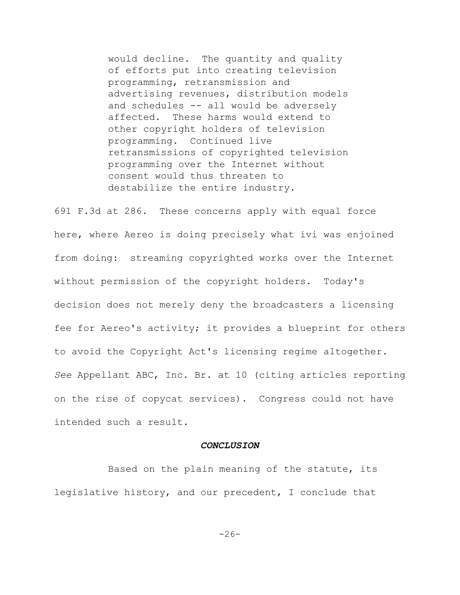would decline. The quantity and quality of efforts put into creating television programming, retransmission and advertising revenues, distribution models and schedules -- all would be adversely affected. These harms would extend to other copyright holders of television programming. Continued live retransmissions of copyrighted television programming over the Internet without consent would thus threaten to destabilize the entire industry.

691 F.3d at 286. These concerns apply with equal force here, where Aereo is doing precisely what ivi was enjoined from doing: streaming copyrighted works over the Internet without permission of the copyright holders. Today's decision does not merely deny the broadcasters a licensing fee for Aereo's activity; it provides a blueprint for others to avoid the Copyright Act's licensing regime altogether. *See* Appellant ABC, Inc. Br. at 10 (citing articles reporting on the rise of copycat services). Congress could not have intended such a result.

#### *CONCLUSION*

Based on the plain meaning of the statute, its legislative history, and our precedent, I conclude that

 $-26-$